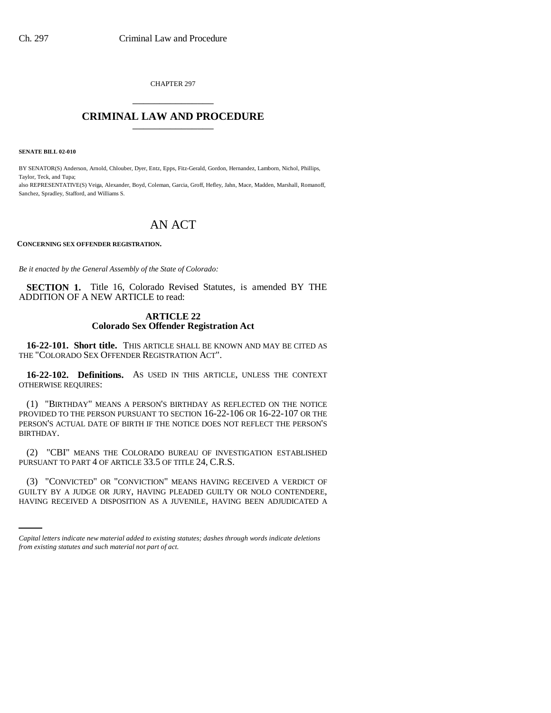CHAPTER 297 \_\_\_\_\_\_\_\_\_\_\_\_\_\_\_

## **CRIMINAL LAW AND PROCEDURE** \_\_\_\_\_\_\_\_\_\_\_\_\_\_\_

**SENATE BILL 02-010**

BY SENATOR(S) Anderson, Arnold, Chlouber, Dyer, Entz, Epps, Fitz-Gerald, Gordon, Hernandez, Lamborn, Nichol, Phillips, Taylor, Teck, and Tupa; also REPRESENTATIVE(S) Veiga, Alexander, Boyd, Coleman, Garcia, Groff, Hefley, Jahn, Mace, Madden, Marshall, Romanoff, Sanchez, Spradley, Stafford, and Williams S.

# AN ACT

**CONCERNING SEX OFFENDER REGISTRATION.** 

*Be it enacted by the General Assembly of the State of Colorado:*

**SECTION 1.** Title 16, Colorado Revised Statutes, is amended BY THE ADDITION OF A NEW ARTICLE to read:

## **ARTICLE 22 Colorado Sex Offender Registration Act**

**16-22-101. Short title.** THIS ARTICLE SHALL BE KNOWN AND MAY BE CITED AS THE "COLORADO SEX OFFENDER REGISTRATION ACT".

**16-22-102. Definitions.** AS USED IN THIS ARTICLE, UNLESS THE CONTEXT OTHERWISE REQUIRES:

(1) "BIRTHDAY" MEANS A PERSON'S BIRTHDAY AS REFLECTED ON THE NOTICE PROVIDED TO THE PERSON PURSUANT TO SECTION 16-22-106 OR 16-22-107 OR THE PERSON'S ACTUAL DATE OF BIRTH IF THE NOTICE DOES NOT REFLECT THE PERSON'S BIRTHDAY.

(2) "CBI" MEANS THE COLORADO BUREAU OF INVESTIGATION ESTABLISHED PURSUANT TO PART 4 OF ARTICLE 33.5 OF TITLE 24, C.R.S.

(3) "CONVICTED" OR "CONVICTION" MEANS HAVING RECEIVED A VERDICT OF GUILTY BY A JUDGE OR JURY, HAVING PLEADED GUILTY OR NOLO CONTENDERE, HAVING RECEIVED A DISPOSITION AS A JUVENILE, HAVING BEEN ADJUDICATED A

*Capital letters indicate new material added to existing statutes; dashes through words indicate deletions from existing statutes and such material not part of act.*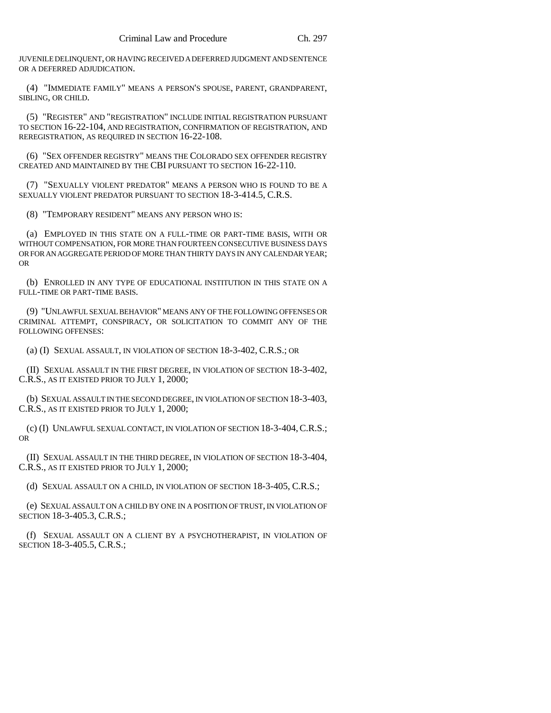JUVENILE DELINQUENT, OR HAVING RECEIVED A DEFERRED JUDGMENT AND SENTENCE OR A DEFERRED ADJUDICATION.

(4) "IMMEDIATE FAMILY" MEANS A PERSON'S SPOUSE, PARENT, GRANDPARENT, SIBLING, OR CHILD.

(5) "REGISTER" AND "REGISTRATION" INCLUDE INITIAL REGISTRATION PURSUANT TO SECTION 16-22-104, AND REGISTRATION, CONFIRMATION OF REGISTRATION, AND REREGISTRATION, AS REQUIRED IN SECTION 16-22-108.

(6) "SEX OFFENDER REGISTRY" MEANS THE COLORADO SEX OFFENDER REGISTRY CREATED AND MAINTAINED BY THE CBI PURSUANT TO SECTION 16-22-110.

(7) "SEXUALLY VIOLENT PREDATOR" MEANS A PERSON WHO IS FOUND TO BE A SEXUALLY VIOLENT PREDATOR PURSUANT TO SECTION 18-3-414.5, C.R.S.

(8) "TEMPORARY RESIDENT" MEANS ANY PERSON WHO IS:

(a) EMPLOYED IN THIS STATE ON A FULL-TIME OR PART-TIME BASIS, WITH OR WITHOUT COMPENSATION, FOR MORE THAN FOURTEEN CONSECUTIVE BUSINESS DAYS OR FOR AN AGGREGATE PERIOD OF MORE THAN THIRTY DAYS IN ANY CALENDAR YEAR; OR

(b) ENROLLED IN ANY TYPE OF EDUCATIONAL INSTITUTION IN THIS STATE ON A FULL-TIME OR PART-TIME BASIS.

(9) "UNLAWFUL SEXUAL BEHAVIOR" MEANS ANY OF THE FOLLOWING OFFENSES OR CRIMINAL ATTEMPT, CONSPIRACY, OR SOLICITATION TO COMMIT ANY OF THE FOLLOWING OFFENSES:

(a) (I) SEXUAL ASSAULT, IN VIOLATION OF SECTION 18-3-402, C.R.S.; OR

(II) SEXUAL ASSAULT IN THE FIRST DEGREE, IN VIOLATION OF SECTION 18-3-402, C.R.S., AS IT EXISTED PRIOR TO JULY 1, 2000;

(b) SEXUAL ASSAULT IN THE SECOND DEGREE, IN VIOLATION OF SECTION 18-3-403, C.R.S., AS IT EXISTED PRIOR TO JULY 1, 2000;

(c) (I) UNLAWFUL SEXUAL CONTACT, IN VIOLATION OF SECTION 18-3-404,C.R.S.; OR

(II) SEXUAL ASSAULT IN THE THIRD DEGREE, IN VIOLATION OF SECTION 18-3-404, C.R.S., AS IT EXISTED PRIOR TO JULY 1, 2000;

(d) SEXUAL ASSAULT ON A CHILD, IN VIOLATION OF SECTION 18-3-405, C.R.S.;

(e) SEXUAL ASSAULT ON A CHILD BY ONE IN A POSITION OF TRUST, IN VIOLATION OF SECTION 18-3-405.3, C.R.S.;

(f) SEXUAL ASSAULT ON A CLIENT BY A PSYCHOTHERAPIST, IN VIOLATION OF SECTION 18-3-405.5, C.R.S.;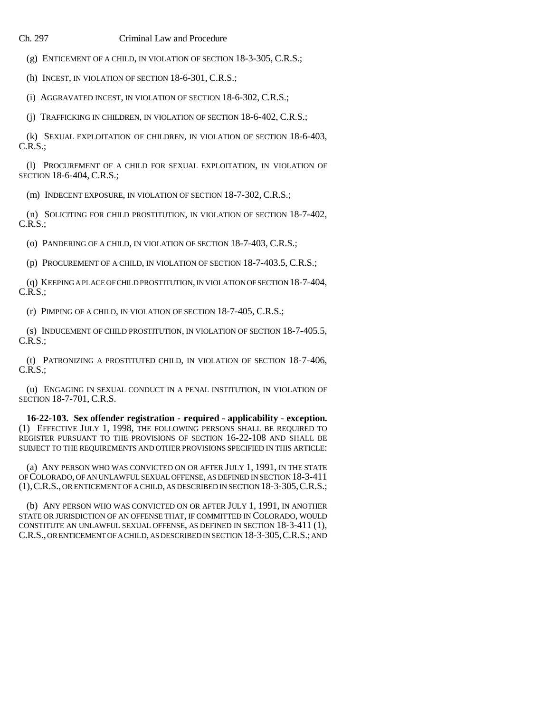(g) ENTICEMENT OF A CHILD, IN VIOLATION OF SECTION 18-3-305, C.R.S.;

(h) INCEST, IN VIOLATION OF SECTION 18-6-301, C.R.S.;

(i) AGGRAVATED INCEST, IN VIOLATION OF SECTION 18-6-302, C.R.S.;

(j) TRAFFICKING IN CHILDREN, IN VIOLATION OF SECTION 18-6-402, C.R.S.;

(k) SEXUAL EXPLOITATION OF CHILDREN, IN VIOLATION OF SECTION 18-6-403, C.R.S.;

(l) PROCUREMENT OF A CHILD FOR SEXUAL EXPLOITATION, IN VIOLATION OF SECTION 18-6-404, C.R.S.;

(m) INDECENT EXPOSURE, IN VIOLATION OF SECTION 18-7-302, C.R.S.;

(n) SOLICITING FOR CHILD PROSTITUTION, IN VIOLATION OF SECTION 18-7-402, C.R.S.;

(o) PANDERING OF A CHILD, IN VIOLATION OF SECTION 18-7-403, C.R.S.;

(p) PROCUREMENT OF A CHILD, IN VIOLATION OF SECTION 18-7-403.5, C.R.S.;

(q) KEEPING A PLACE OF CHILD PROSTITUTION, IN VIOLATION OF SECTION 18-7-404, C.R.S.;

(r) PIMPING OF A CHILD, IN VIOLATION OF SECTION 18-7-405, C.R.S.;

(s) INDUCEMENT OF CHILD PROSTITUTION, IN VIOLATION OF SECTION 18-7-405.5, C.R.S.;

(t) PATRONIZING A PROSTITUTED CHILD, IN VIOLATION OF SECTION 18-7-406,  $C.R.S.:$ 

(u) ENGAGING IN SEXUAL CONDUCT IN A PENAL INSTITUTION, IN VIOLATION OF SECTION 18-7-701, C.R.S.

**16-22-103. Sex offender registration - required - applicability - exception.** (1) EFFECTIVE JULY 1, 1998, THE FOLLOWING PERSONS SHALL BE REQUIRED TO REGISTER PURSUANT TO THE PROVISIONS OF SECTION 16-22-108 AND SHALL BE SUBJECT TO THE REQUIREMENTS AND OTHER PROVISIONS SPECIFIED IN THIS ARTICLE:

(a) ANY PERSON WHO WAS CONVICTED ON OR AFTER JULY 1, 1991, IN THE STATE OF COLORADO, OF AN UNLAWFUL SEXUAL OFFENSE, AS DEFINED IN SECTION 18-3-411 (1),C.R.S., OR ENTICEMENT OF A CHILD, AS DESCRIBED IN SECTION 18-3-305,C.R.S.;

(b) ANY PERSON WHO WAS CONVICTED ON OR AFTER JULY 1, 1991, IN ANOTHER STATE OR JURISDICTION OF AN OFFENSE THAT, IF COMMITTED IN COLORADO, WOULD CONSTITUTE AN UNLAWFUL SEXUAL OFFENSE, AS DEFINED IN SECTION 18-3-411 (1), C.R.S., OR ENTICEMENT OF A CHILD, AS DESCRIBED IN SECTION 18-3-305,C.R.S.; AND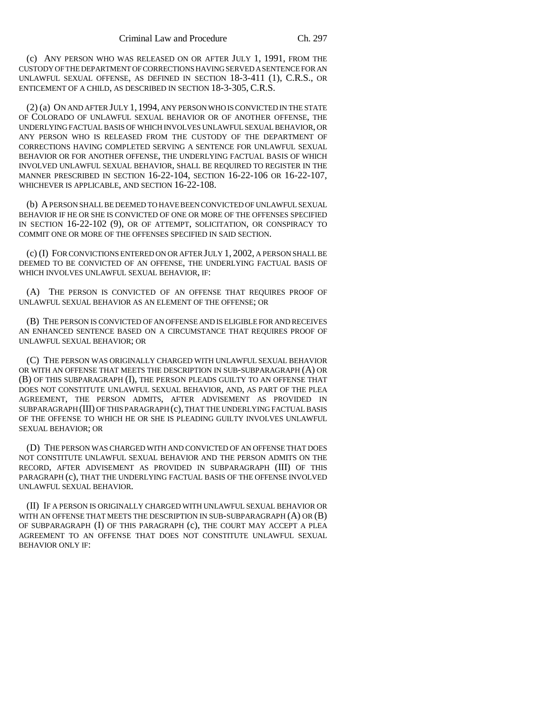(c) ANY PERSON WHO WAS RELEASED ON OR AFTER JULY 1, 1991, FROM THE CUSTODY OF THE DEPARTMENT OF CORRECTIONS HAVING SERVED A SENTENCE FOR AN UNLAWFUL SEXUAL OFFENSE, AS DEFINED IN SECTION 18-3-411 (1), C.R.S., OR ENTICEMENT OF A CHILD, AS DESCRIBED IN SECTION 18-3-305, C.R.S.

(2) (a) ON AND AFTER JULY 1, 1994, ANY PERSON WHO IS CONVICTED IN THE STATE OF COLORADO OF UNLAWFUL SEXUAL BEHAVIOR OR OF ANOTHER OFFENSE, THE UNDERLYING FACTUAL BASIS OF WHICH INVOLVES UNLAWFUL SEXUAL BEHAVIOR, OR ANY PERSON WHO IS RELEASED FROM THE CUSTODY OF THE DEPARTMENT OF CORRECTIONS HAVING COMPLETED SERVING A SENTENCE FOR UNLAWFUL SEXUAL BEHAVIOR OR FOR ANOTHER OFFENSE, THE UNDERLYING FACTUAL BASIS OF WHICH INVOLVED UNLAWFUL SEXUAL BEHAVIOR, SHALL BE REQUIRED TO REGISTER IN THE MANNER PRESCRIBED IN SECTION 16-22-104, SECTION 16-22-106 OR 16-22-107, WHICHEVER IS APPLICABLE, AND SECTION 16-22-108.

(b) A PERSON SHALL BE DEEMED TO HAVE BEEN CONVICTED OF UNLAWFUL SEXUAL BEHAVIOR IF HE OR SHE IS CONVICTED OF ONE OR MORE OF THE OFFENSES SPECIFIED IN SECTION 16-22-102 (9), OR OF ATTEMPT, SOLICITATION, OR CONSPIRACY TO COMMIT ONE OR MORE OF THE OFFENSES SPECIFIED IN SAID SECTION.

(c) (I) FOR CONVICTIONS ENTERED ON OR AFTER JULY 1, 2002, A PERSON SHALL BE DEEMED TO BE CONVICTED OF AN OFFENSE, THE UNDERLYING FACTUAL BASIS OF WHICH INVOLVES UNLAWFUL SEXUAL BEHAVIOR, IF:

(A) THE PERSON IS CONVICTED OF AN OFFENSE THAT REQUIRES PROOF OF UNLAWFUL SEXUAL BEHAVIOR AS AN ELEMENT OF THE OFFENSE; OR

(B) THE PERSON IS CONVICTED OF AN OFFENSE AND IS ELIGIBLE FOR AND RECEIVES AN ENHANCED SENTENCE BASED ON A CIRCUMSTANCE THAT REQUIRES PROOF OF UNLAWFUL SEXUAL BEHAVIOR; OR

(C) THE PERSON WAS ORIGINALLY CHARGED WITH UNLAWFUL SEXUAL BEHAVIOR OR WITH AN OFFENSE THAT MEETS THE DESCRIPTION IN SUB-SUBPARAGRAPH (A) OR (B) OF THIS SUBPARAGRAPH (I), THE PERSON PLEADS GUILTY TO AN OFFENSE THAT DOES NOT CONSTITUTE UNLAWFUL SEXUAL BEHAVIOR, AND, AS PART OF THE PLEA AGREEMENT, THE PERSON ADMITS, AFTER ADVISEMENT AS PROVIDED IN SUBPARAGRAPH (III) OF THIS PARAGRAPH (c), THAT THE UNDERLYING FACTUAL BASIS OF THE OFFENSE TO WHICH HE OR SHE IS PLEADING GUILTY INVOLVES UNLAWFUL SEXUAL BEHAVIOR; OR

(D) THE PERSON WAS CHARGED WITH AND CONVICTED OF AN OFFENSE THAT DOES NOT CONSTITUTE UNLAWFUL SEXUAL BEHAVIOR AND THE PERSON ADMITS ON THE RECORD, AFTER ADVISEMENT AS PROVIDED IN SUBPARAGRAPH (III) OF THIS PARAGRAPH (c), THAT THE UNDERLYING FACTUAL BASIS OF THE OFFENSE INVOLVED UNLAWFUL SEXUAL BEHAVIOR.

(II) IF A PERSON IS ORIGINALLY CHARGED WITH UNLAWFUL SEXUAL BEHAVIOR OR WITH AN OFFENSE THAT MEETS THE DESCRIPTION IN SUB-SUBPARAGRAPH (A) OR (B) OF SUBPARAGRAPH (I) OF THIS PARAGRAPH (c), THE COURT MAY ACCEPT A PLEA AGREEMENT TO AN OFFENSE THAT DOES NOT CONSTITUTE UNLAWFUL SEXUAL BEHAVIOR ONLY IF: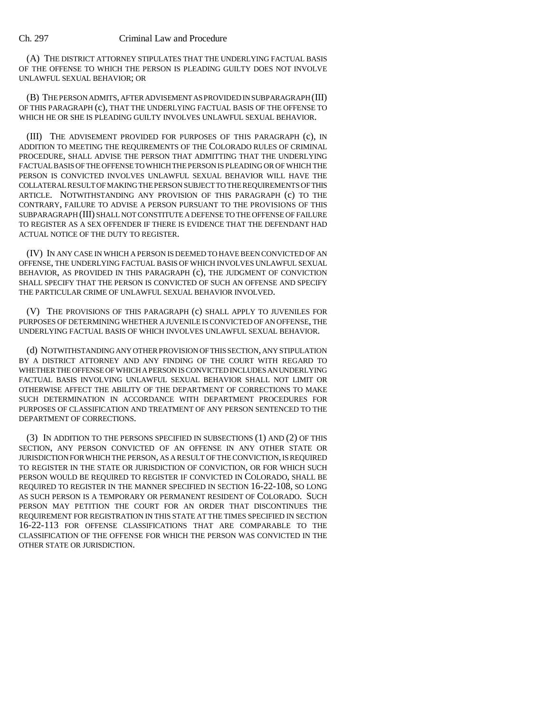(A) THE DISTRICT ATTORNEY STIPULATES THAT THE UNDERLYING FACTUAL BASIS OF THE OFFENSE TO WHICH THE PERSON IS PLEADING GUILTY DOES NOT INVOLVE UNLAWFUL SEXUAL BEHAVIOR; OR

(B) THE PERSON ADMITS, AFTER ADVISEMENT AS PROVIDED IN SUBPARAGRAPH (III) OF THIS PARAGRAPH (c), THAT THE UNDERLYING FACTUAL BASIS OF THE OFFENSE TO WHICH HE OR SHE IS PLEADING GUILTY INVOLVES UNLAWFUL SEXUAL BEHAVIOR.

(III) THE ADVISEMENT PROVIDED FOR PURPOSES OF THIS PARAGRAPH (c), IN ADDITION TO MEETING THE REQUIREMENTS OF THE COLORADO RULES OF CRIMINAL PROCEDURE, SHALL ADVISE THE PERSON THAT ADMITTING THAT THE UNDERLYING FACTUAL BASIS OF THE OFFENSE TO WHICH THE PERSON IS PLEADING OR OF WHICH THE PERSON IS CONVICTED INVOLVES UNLAWFUL SEXUAL BEHAVIOR WILL HAVE THE COLLATERAL RESULT OF MAKING THE PERSON SUBJECT TO THE REQUIREMENTS OF THIS ARTICLE. NOTWITHSTANDING ANY PROVISION OF THIS PARAGRAPH (c) TO THE CONTRARY, FAILURE TO ADVISE A PERSON PURSUANT TO THE PROVISIONS OF THIS SUBPARAGRAPH (III) SHALL NOT CONSTITUTE A DEFENSE TO THE OFFENSE OF FAILURE TO REGISTER AS A SEX OFFENDER IF THERE IS EVIDENCE THAT THE DEFENDANT HAD ACTUAL NOTICE OF THE DUTY TO REGISTER.

(IV) IN ANY CASE IN WHICH A PERSON IS DEEMED TO HAVE BEEN CONVICTED OF AN OFFENSE, THE UNDERLYING FACTUAL BASIS OF WHICH INVOLVES UNLAWFUL SEXUAL BEHAVIOR, AS PROVIDED IN THIS PARAGRAPH (c), THE JUDGMENT OF CONVICTION SHALL SPECIFY THAT THE PERSON IS CONVICTED OF SUCH AN OFFENSE AND SPECIFY THE PARTICULAR CRIME OF UNLAWFUL SEXUAL BEHAVIOR INVOLVED.

(V) THE PROVISIONS OF THIS PARAGRAPH (c) SHALL APPLY TO JUVENILES FOR PURPOSES OF DETERMINING WHETHER A JUVENILE IS CONVICTED OF AN OFFENSE, THE UNDERLYING FACTUAL BASIS OF WHICH INVOLVES UNLAWFUL SEXUAL BEHAVIOR.

(d) NOTWITHSTANDING ANY OTHER PROVISION OF THIS SECTION, ANY STIPULATION BY A DISTRICT ATTORNEY AND ANY FINDING OF THE COURT WITH REGARD TO WHETHER THE OFFENSE OF WHICH A PERSON IS CONVICTED INCLUDES AN UNDERLYING FACTUAL BASIS INVOLVING UNLAWFUL SEXUAL BEHAVIOR SHALL NOT LIMIT OR OTHERWISE AFFECT THE ABILITY OF THE DEPARTMENT OF CORRECTIONS TO MAKE SUCH DETERMINATION IN ACCORDANCE WITH DEPARTMENT PROCEDURES FOR PURPOSES OF CLASSIFICATION AND TREATMENT OF ANY PERSON SENTENCED TO THE DEPARTMENT OF CORRECTIONS.

(3) IN ADDITION TO THE PERSONS SPECIFIED IN SUBSECTIONS (1) AND (2) OF THIS SECTION, ANY PERSON CONVICTED OF AN OFFENSE IN ANY OTHER STATE OR JURISDICTION FOR WHICH THE PERSON, AS A RESULT OF THE CONVICTION, IS REQUIRED TO REGISTER IN THE STATE OR JURISDICTION OF CONVICTION, OR FOR WHICH SUCH PERSON WOULD BE REQUIRED TO REGISTER IF CONVICTED IN COLORADO, SHALL BE REQUIRED TO REGISTER IN THE MANNER SPECIFIED IN SECTION 16-22-108, SO LONG AS SUCH PERSON IS A TEMPORARY OR PERMANENT RESIDENT OF COLORADO. SUCH PERSON MAY PETITION THE COURT FOR AN ORDER THAT DISCONTINUES THE REQUIREMENT FOR REGISTRATION IN THIS STATE AT THE TIMES SPECIFIED IN SECTION 16-22-113 FOR OFFENSE CLASSIFICATIONS THAT ARE COMPARABLE TO THE CLASSIFICATION OF THE OFFENSE FOR WHICH THE PERSON WAS CONVICTED IN THE OTHER STATE OR JURISDICTION.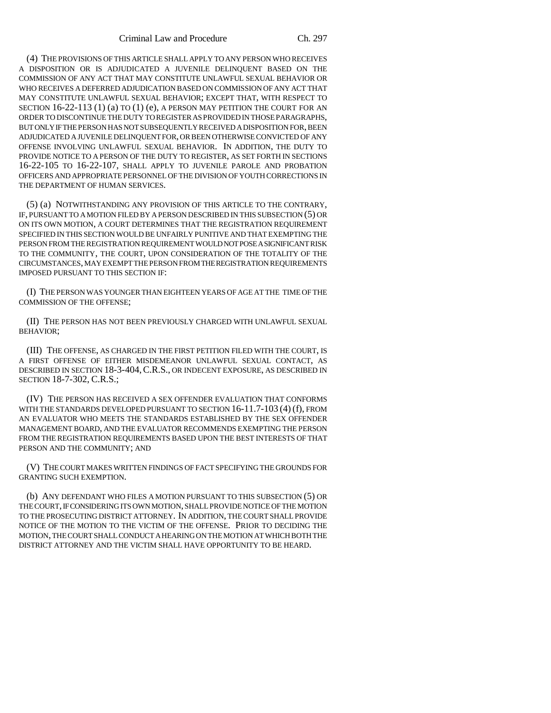(4) THE PROVISIONS OF THIS ARTICLE SHALL APPLY TO ANY PERSON WHO RECEIVES A DISPOSITION OR IS ADJUDICATED A JUVENILE DELINQUENT BASED ON THE COMMISSION OF ANY ACT THAT MAY CONSTITUTE UNLAWFUL SEXUAL BEHAVIOR OR WHO RECEIVES A DEFERRED ADJUDICATION BASED ON COMMISSION OF ANY ACT THAT MAY CONSTITUTE UNLAWFUL SEXUAL BEHAVIOR; EXCEPT THAT, WITH RESPECT TO SECTION  $16-22-113$   $(1)$   $(a)$  to  $(1)$   $(e)$ , a person may petition the court for an ORDER TO DISCONTINUE THE DUTY TO REGISTER AS PROVIDED IN THOSE PARAGRAPHS, BUT ONLY IF THE PERSON HAS NOT SUBSEQUENTLY RECEIVED A DISPOSITION FOR, BEEN ADJUDICATED A JUVENILE DELINQUENT FOR, OR BEEN OTHERWISE CONVICTED OF ANY OFFENSE INVOLVING UNLAWFUL SEXUAL BEHAVIOR. IN ADDITION, THE DUTY TO PROVIDE NOTICE TO A PERSON OF THE DUTY TO REGISTER, AS SET FORTH IN SECTIONS 16-22-105 TO 16-22-107, SHALL APPLY TO JUVENILE PAROLE AND PROBATION OFFICERS AND APPROPRIATE PERSONNEL OF THE DIVISION OF YOUTH CORRECTIONS IN THE DEPARTMENT OF HUMAN SERVICES.

(5) (a) NOTWITHSTANDING ANY PROVISION OF THIS ARTICLE TO THE CONTRARY, IF, PURSUANT TO A MOTION FILED BY A PERSON DESCRIBED IN THIS SUBSECTION (5) OR ON ITS OWN MOTION, A COURT DETERMINES THAT THE REGISTRATION REQUIREMENT SPECIFIED IN THIS SECTION WOULD BE UNFAIRLY PUNITIVE AND THAT EXEMPTING THE PERSON FROM THE REGISTRATION REQUIREMENT WOULD NOT POSE A SIGNIFICANT RISK TO THE COMMUNITY, THE COURT, UPON CONSIDERATION OF THE TOTALITY OF THE CIRCUMSTANCES, MAY EXEMPT THE PERSON FROM THE REGISTRATION REQUIREMENTS IMPOSED PURSUANT TO THIS SECTION IF:

(I) THE PERSON WAS YOUNGER THAN EIGHTEEN YEARS OF AGE AT THE TIME OF THE COMMISSION OF THE OFFENSE;

(II) THE PERSON HAS NOT BEEN PREVIOUSLY CHARGED WITH UNLAWFUL SEXUAL BEHAVIOR;

(III) THE OFFENSE, AS CHARGED IN THE FIRST PETITION FILED WITH THE COURT, IS A FIRST OFFENSE OF EITHER MISDEMEANOR UNLAWFUL SEXUAL CONTACT, AS DESCRIBED IN SECTION 18-3-404,C.R.S., OR INDECENT EXPOSURE, AS DESCRIBED IN SECTION 18-7-302, C.R.S.;

(IV) THE PERSON HAS RECEIVED A SEX OFFENDER EVALUATION THAT CONFORMS WITH THE STANDARDS DEVELOPED PURSUANT TO SECTION 16-11.7-103 (4) (f), FROM AN EVALUATOR WHO MEETS THE STANDARDS ESTABLISHED BY THE SEX OFFENDER MANAGEMENT BOARD, AND THE EVALUATOR RECOMMENDS EXEMPTING THE PERSON FROM THE REGISTRATION REQUIREMENTS BASED UPON THE BEST INTERESTS OF THAT PERSON AND THE COMMUNITY; AND

(V) THE COURT MAKES WRITTEN FINDINGS OF FACT SPECIFYING THE GROUNDS FOR GRANTING SUCH EXEMPTION.

(b) ANY DEFENDANT WHO FILES A MOTION PURSUANT TO THIS SUBSECTION (5) OR THE COURT, IF CONSIDERING ITS OWN MOTION, SHALL PROVIDE NOTICE OF THE MOTION TO THE PROSECUTING DISTRICT ATTORNEY. IN ADDITION, THE COURT SHALL PROVIDE NOTICE OF THE MOTION TO THE VICTIM OF THE OFFENSE. PRIOR TO DECIDING THE MOTION, THE COURT SHALL CONDUCT A HEARING ON THE MOTION AT WHICH BOTH THE DISTRICT ATTORNEY AND THE VICTIM SHALL HAVE OPPORTUNITY TO BE HEARD.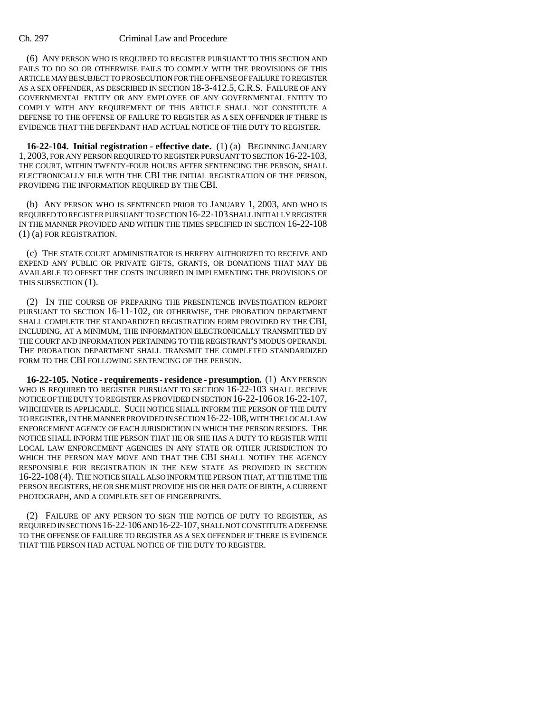(6) ANY PERSON WHO IS REQUIRED TO REGISTER PURSUANT TO THIS SECTION AND FAILS TO DO SO OR OTHERWISE FAILS TO COMPLY WITH THE PROVISIONS OF THIS ARTICLE MAY BE SUBJECT TO PROSECUTION FOR THE OFFENSE OF FAILURE TO REGISTER AS A SEX OFFENDER, AS DESCRIBED IN SECTION 18-3-412.5, C.R.S. FAILURE OF ANY GOVERNMENTAL ENTITY OR ANY EMPLOYEE OF ANY GOVERNMENTAL ENTITY TO COMPLY WITH ANY REQUIREMENT OF THIS ARTICLE SHALL NOT CONSTITUTE A DEFENSE TO THE OFFENSE OF FAILURE TO REGISTER AS A SEX OFFENDER IF THERE IS EVIDENCE THAT THE DEFENDANT HAD ACTUAL NOTICE OF THE DUTY TO REGISTER.

**16-22-104. Initial registration - effective date.** (1) (a) BEGINNING JANUARY 1, 2003, FOR ANY PERSON REQUIRED TO REGISTER PURSUANT TO SECTION 16-22-103, THE COURT, WITHIN TWENTY-FOUR HOURS AFTER SENTENCING THE PERSON, SHALL ELECTRONICALLY FILE WITH THE CBI THE INITIAL REGISTRATION OF THE PERSON, PROVIDING THE INFORMATION REQUIRED BY THE CBI.

(b) ANY PERSON WHO IS SENTENCED PRIOR TO JANUARY 1, 2003, AND WHO IS REQUIRED TO REGISTER PURSUANT TO SECTION 16-22-103 SHALL INITIALLY REGISTER IN THE MANNER PROVIDED AND WITHIN THE TIMES SPECIFIED IN SECTION 16-22-108 (1) (a) FOR REGISTRATION.

(c) THE STATE COURT ADMINISTRATOR IS HEREBY AUTHORIZED TO RECEIVE AND EXPEND ANY PUBLIC OR PRIVATE GIFTS, GRANTS, OR DONATIONS THAT MAY BE AVAILABLE TO OFFSET THE COSTS INCURRED IN IMPLEMENTING THE PROVISIONS OF THIS SUBSECTION (1).

(2) IN THE COURSE OF PREPARING THE PRESENTENCE INVESTIGATION REPORT PURSUANT TO SECTION 16-11-102, OR OTHERWISE, THE PROBATION DEPARTMENT SHALL COMPLETE THE STANDARDIZED REGISTRATION FORM PROVIDED BY THE CBI, INCLUDING, AT A MINIMUM, THE INFORMATION ELECTRONICALLY TRANSMITTED BY THE COURT AND INFORMATION PERTAINING TO THE REGISTRANT'S MODUS OPERANDI. THE PROBATION DEPARTMENT SHALL TRANSMIT THE COMPLETED STANDARDIZED FORM TO THE CBI FOLLOWING SENTENCING OF THE PERSON.

**16-22-105. Notice - requirements - residence - presumption.** (1) ANY PERSON WHO IS REQUIRED TO REGISTER PURSUANT TO SECTION 16-22-103 SHALL RECEIVE NOTICE OF THE DUTY TO REGISTER AS PROVIDED IN SECTION 16-22-106 OR 16-22-107, WHICHEVER IS APPLICABLE. SUCH NOTICE SHALL INFORM THE PERSON OF THE DUTY TO REGISTER, IN THE MANNER PROVIDED IN SECTION 16-22-108, WITH THE LOCAL LAW ENFORCEMENT AGENCY OF EACH JURISDICTION IN WHICH THE PERSON RESIDES. THE NOTICE SHALL INFORM THE PERSON THAT HE OR SHE HAS A DUTY TO REGISTER WITH LOCAL LAW ENFORCEMENT AGENCIES IN ANY STATE OR OTHER JURISDICTION TO WHICH THE PERSON MAY MOVE AND THAT THE CBI SHALL NOTIFY THE AGENCY RESPONSIBLE FOR REGISTRATION IN THE NEW STATE AS PROVIDED IN SECTION 16-22-108 (4). THE NOTICE SHALL ALSO INFORM THE PERSON THAT, AT THE TIME THE PERSON REGISTERS, HE OR SHE MUST PROVIDE HIS OR HER DATE OF BIRTH, A CURRENT PHOTOGRAPH, AND A COMPLETE SET OF FINGERPRINTS.

(2) FAILURE OF ANY PERSON TO SIGN THE NOTICE OF DUTY TO REGISTER, AS REQUIRED IN SECTIONS 16-22-106 AND 16-22-107, SHALL NOT CONSTITUTE A DEFENSE TO THE OFFENSE OF FAILURE TO REGISTER AS A SEX OFFENDER IF THERE IS EVIDENCE THAT THE PERSON HAD ACTUAL NOTICE OF THE DUTY TO REGISTER.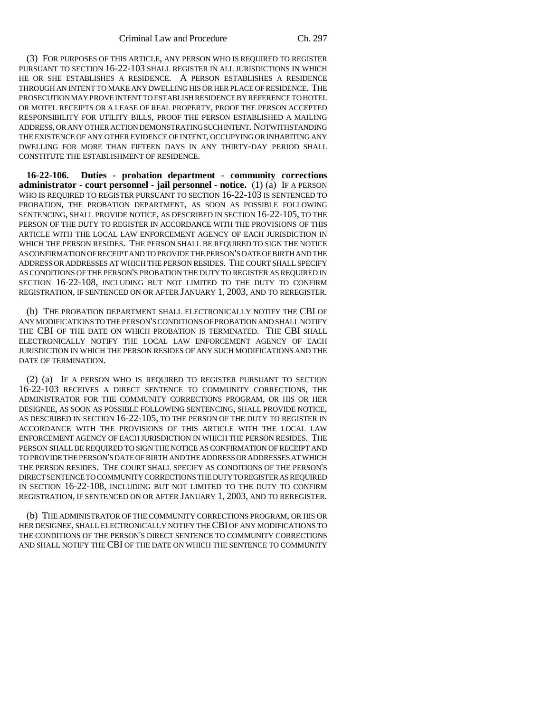(3) FOR PURPOSES OF THIS ARTICLE, ANY PERSON WHO IS REQUIRED TO REGISTER PURSUANT TO SECTION 16-22-103 SHALL REGISTER IN ALL JURISDICTIONS IN WHICH HE OR SHE ESTABLISHES A RESIDENCE. A PERSON ESTABLISHES A RESIDENCE THROUGH AN INTENT TO MAKE ANY DWELLING HIS OR HER PLACE OF RESIDENCE. THE PROSECUTION MAY PROVE INTENT TO ESTABLISH RESIDENCE BY REFERENCE TO HOTEL OR MOTEL RECEIPTS OR A LEASE OF REAL PROPERTY, PROOF THE PERSON ACCEPTED RESPONSIBILITY FOR UTILITY BILLS, PROOF THE PERSON ESTABLISHED A MAILING ADDRESS, OR ANY OTHER ACTION DEMONSTRATING SUCH INTENT. NOTWITHSTANDING THE EXISTENCE OF ANY OTHER EVIDENCE OF INTENT, OCCUPYING OR INHABITING ANY DWELLING FOR MORE THAN FIFTEEN DAYS IN ANY THIRTY-DAY PERIOD SHALL CONSTITUTE THE ESTABLISHMENT OF RESIDENCE.

**16-22-106. Duties - probation department - community corrections administrator - court personnel - jail personnel - notice.** (1) (a) IF A PERSON WHO IS REQUIRED TO REGISTER PURSUANT TO SECTION 16-22-103 IS SENTENCED TO PROBATION, THE PROBATION DEPARTMENT, AS SOON AS POSSIBLE FOLLOWING SENTENCING, SHALL PROVIDE NOTICE, AS DESCRIBED IN SECTION 16-22-105, TO THE PERSON OF THE DUTY TO REGISTER IN ACCORDANCE WITH THE PROVISIONS OF THIS ARTICLE WITH THE LOCAL LAW ENFORCEMENT AGENCY OF EACH JURISDICTION IN WHICH THE PERSON RESIDES. THE PERSON SHALL BE REQUIRED TO SIGN THE NOTICE AS CONFIRMATION OF RECEIPT AND TO PROVIDE THE PERSON'S DATE OF BIRTH AND THE ADDRESS OR ADDRESSES AT WHICH THE PERSON RESIDES. THE COURT SHALL SPECIFY AS CONDITIONS OF THE PERSON'S PROBATION THE DUTY TO REGISTER AS REQUIRED IN SECTION 16-22-108, INCLUDING BUT NOT LIMITED TO THE DUTY TO CONFIRM REGISTRATION, IF SENTENCED ON OR AFTER JANUARY 1, 2003, AND TO REREGISTER.

(b) THE PROBATION DEPARTMENT SHALL ELECTRONICALLY NOTIFY THE CBI OF ANY MODIFICATIONS TO THE PERSON'S CONDITIONS OF PROBATION AND SHALL NOTIFY THE CBI OF THE DATE ON WHICH PROBATION IS TERMINATED. THE CBI SHALL ELECTRONICALLY NOTIFY THE LOCAL LAW ENFORCEMENT AGENCY OF EACH JURISDICTION IN WHICH THE PERSON RESIDES OF ANY SUCH MODIFICATIONS AND THE DATE OF TERMINATION.

(2) (a) IF A PERSON WHO IS REQUIRED TO REGISTER PURSUANT TO SECTION 16-22-103 RECEIVES A DIRECT SENTENCE TO COMMUNITY CORRECTIONS, THE ADMINISTRATOR FOR THE COMMUNITY CORRECTIONS PROGRAM, OR HIS OR HER DESIGNEE, AS SOON AS POSSIBLE FOLLOWING SENTENCING, SHALL PROVIDE NOTICE, AS DESCRIBED IN SECTION 16-22-105, TO THE PERSON OF THE DUTY TO REGISTER IN ACCORDANCE WITH THE PROVISIONS OF THIS ARTICLE WITH THE LOCAL LAW ENFORCEMENT AGENCY OF EACH JURISDICTION IN WHICH THE PERSON RESIDES. THE PERSON SHALL BE REQUIRED TO SIGN THE NOTICE AS CONFIRMATION OF RECEIPT AND TO PROVIDE THE PERSON'S DATE OF BIRTH AND THE ADDRESS OR ADDRESSES AT WHICH THE PERSON RESIDES. THE COURT SHALL SPECIFY AS CONDITIONS OF THE PERSON'S DIRECT SENTENCE TO COMMUNITY CORRECTIONS THE DUTY TO REGISTER AS REQUIRED IN SECTION 16-22-108, INCLUDING BUT NOT LIMITED TO THE DUTY TO CONFIRM REGISTRATION, IF SENTENCED ON OR AFTER JANUARY 1, 2003, AND TO REREGISTER.

(b) THE ADMINISTRATOR OF THE COMMUNITY CORRECTIONS PROGRAM, OR HIS OR HER DESIGNEE, SHALL ELECTRONICALLY NOTIFY THE CBI OF ANY MODIFICATIONS TO THE CONDITIONS OF THE PERSON'S DIRECT SENTENCE TO COMMUNITY CORRECTIONS AND SHALL NOTIFY THE CBI OF THE DATE ON WHICH THE SENTENCE TO COMMUNITY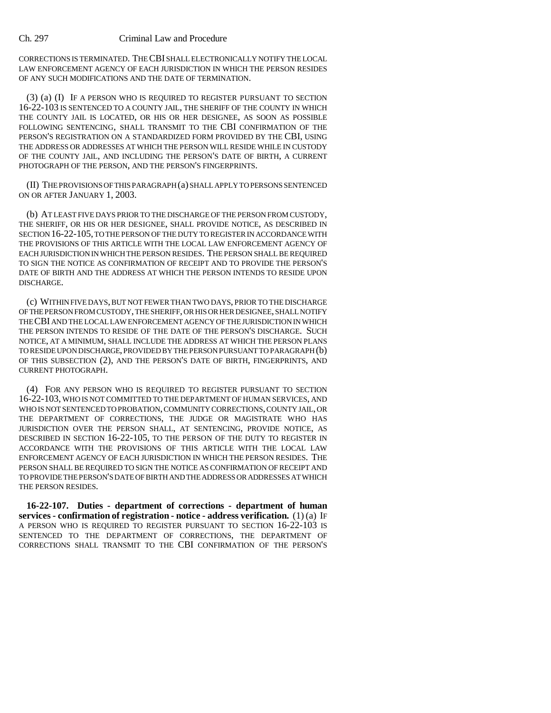CORRECTIONS IS TERMINATED. THE CBI SHALL ELECTRONICALLY NOTIFY THE LOCAL LAW ENFORCEMENT AGENCY OF EACH JURISDICTION IN WHICH THE PERSON RESIDES OF ANY SUCH MODIFICATIONS AND THE DATE OF TERMINATION.

(3) (a) (I) IF A PERSON WHO IS REQUIRED TO REGISTER PURSUANT TO SECTION 16-22-103 IS SENTENCED TO A COUNTY JAIL, THE SHERIFF OF THE COUNTY IN WHICH THE COUNTY JAIL IS LOCATED, OR HIS OR HER DESIGNEE, AS SOON AS POSSIBLE FOLLOWING SENTENCING, SHALL TRANSMIT TO THE CBI CONFIRMATION OF THE PERSON'S REGISTRATION ON A STANDARDIZED FORM PROVIDED BY THE CBI, USING THE ADDRESS OR ADDRESSES AT WHICH THE PERSON WILL RESIDE WHILE IN CUSTODY OF THE COUNTY JAIL, AND INCLUDING THE PERSON'S DATE OF BIRTH, A CURRENT PHOTOGRAPH OF THE PERSON, AND THE PERSON'S FINGERPRINTS.

(II) THE PROVISIONS OF THIS PARAGRAPH (a) SHALL APPLY TO PERSONS SENTENCED ON OR AFTER JANUARY 1, 2003.

(b) AT LEAST FIVE DAYS PRIOR TO THE DISCHARGE OF THE PERSON FROM CUSTODY, THE SHERIFF, OR HIS OR HER DESIGNEE, SHALL PROVIDE NOTICE, AS DESCRIBED IN SECTION 16-22-105, TO THE PERSON OF THE DUTY TO REGISTER IN ACCORDANCE WITH THE PROVISIONS OF THIS ARTICLE WITH THE LOCAL LAW ENFORCEMENT AGENCY OF EACH JURISDICTION IN WHICH THE PERSON RESIDES. THE PERSON SHALL BE REQUIRED TO SIGN THE NOTICE AS CONFIRMATION OF RECEIPT AND TO PROVIDE THE PERSON'S DATE OF BIRTH AND THE ADDRESS AT WHICH THE PERSON INTENDS TO RESIDE UPON DISCHARGE.

(c) WITHIN FIVE DAYS, BUT NOT FEWER THAN TWO DAYS, PRIOR TO THE DISCHARGE OF THE PERSON FROM CUSTODY, THE SHERIFF, OR HIS OR HER DESIGNEE, SHALL NOTIFY THE CBI AND THE LOCAL LAW ENFORCEMENT AGENCY OF THE JURISDICTION IN WHICH THE PERSON INTENDS TO RESIDE OF THE DATE OF THE PERSON'S DISCHARGE. SUCH NOTICE, AT A MINIMUM, SHALL INCLUDE THE ADDRESS AT WHICH THE PERSON PLANS TO RESIDE UPON DISCHARGE, PROVIDED BY THE PERSON PURSUANT TO PARAGRAPH (b) OF THIS SUBSECTION (2), AND THE PERSON'S DATE OF BIRTH, FINGERPRINTS, AND CURRENT PHOTOGRAPH.

(4) FOR ANY PERSON WHO IS REQUIRED TO REGISTER PURSUANT TO SECTION 16-22-103, WHO IS NOT COMMITTED TO THE DEPARTMENT OF HUMAN SERVICES, AND WHO IS NOT SENTENCED TO PROBATION, COMMUNITY CORRECTIONS, COUNTY JAIL, OR THE DEPARTMENT OF CORRECTIONS, THE JUDGE OR MAGISTRATE WHO HAS JURISDICTION OVER THE PERSON SHALL, AT SENTENCING, PROVIDE NOTICE, AS DESCRIBED IN SECTION 16-22-105, TO THE PERSON OF THE DUTY TO REGISTER IN ACCORDANCE WITH THE PROVISIONS OF THIS ARTICLE WITH THE LOCAL LAW ENFORCEMENT AGENCY OF EACH JURISDICTION IN WHICH THE PERSON RESIDES. THE PERSON SHALL BE REQUIRED TO SIGN THE NOTICE AS CONFIRMATION OF RECEIPT AND TO PROVIDE THE PERSON'S DATE OF BIRTH AND THE ADDRESS OR ADDRESSES AT WHICH THE PERSON RESIDES.

**16-22-107. Duties - department of corrections - department of human services - confirmation of registration - notice - address verification.** (1) (a) IF A PERSON WHO IS REQUIRED TO REGISTER PURSUANT TO SECTION 16-22-103 IS SENTENCED TO THE DEPARTMENT OF CORRECTIONS, THE DEPARTMENT OF CORRECTIONS SHALL TRANSMIT TO THE CBI CONFIRMATION OF THE PERSON'S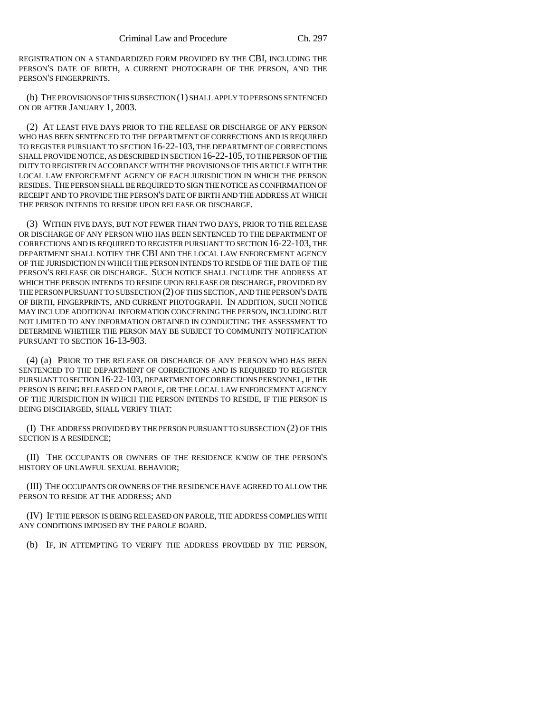REGISTRATION ON A STANDARDIZED FORM PROVIDED BY THE CBI, INCLUDING THE PERSON'S DATE OF BIRTH, A CURRENT PHOTOGRAPH OF THE PERSON, AND THE PERSON'S FINGERPRINTS.

(b) THE PROVISIONS OF THIS SUBSECTION (1) SHALL APPLY TO PERSONS SENTENCED ON OR AFTER JANUARY 1, 2003.

(2) AT LEAST FIVE DAYS PRIOR TO THE RELEASE OR DISCHARGE OF ANY PERSON WHO HAS BEEN SENTENCED TO THE DEPARTMENT OF CORRECTIONS AND IS REQUIRED TO REGISTER PURSUANT TO SECTION 16-22-103, THE DEPARTMENT OF CORRECTIONS SHALL PROVIDE NOTICE, AS DESCRIBED IN SECTION 16-22-105, TO THE PERSON OF THE DUTY TO REGISTER IN ACCORDANCE WITH THE PROVISIONS OF THIS ARTICLE WITH THE LOCAL LAW ENFORCEMENT AGENCY OF EACH JURISDICTION IN WHICH THE PERSON RESIDES. THE PERSON SHALL BE REQUIRED TO SIGN THE NOTICE AS CONFIRMATION OF RECEIPT AND TO PROVIDE THE PERSON'S DATE OF BIRTH AND THE ADDRESS AT WHICH THE PERSON INTENDS TO RESIDE UPON RELEASE OR DISCHARGE.

(3) WITHIN FIVE DAYS, BUT NOT FEWER THAN TWO DAYS, PRIOR TO THE RELEASE OR DISCHARGE OF ANY PERSON WHO HAS BEEN SENTENCED TO THE DEPARTMENT OF CORRECTIONS AND IS REQUIRED TO REGISTER PURSUANT TO SECTION 16-22-103, THE DEPARTMENT SHALL NOTIFY THE CBI AND THE LOCAL LAW ENFORCEMENT AGENCY OF THE JURISDICTION IN WHICH THE PERSON INTENDS TO RESIDE OF THE DATE OF THE PERSON'S RELEASE OR DISCHARGE. SUCH NOTICE SHALL INCLUDE THE ADDRESS AT WHICH THE PERSON INTENDS TO RESIDE UPON RELEASE OR DISCHARGE, PROVIDED BY THE PERSON PURSUANT TO SUBSECTION (2) OF THIS SECTION, AND THE PERSON'S DATE OF BIRTH, FINGERPRINTS, AND CURRENT PHOTOGRAPH. IN ADDITION, SUCH NOTICE MAY INCLUDE ADDITIONAL INFORMATION CONCERNING THE PERSON, INCLUDING BUT NOT LIMITED TO ANY INFORMATION OBTAINED IN CONDUCTING THE ASSESSMENT TO DETERMINE WHETHER THE PERSON MAY BE SUBJECT TO COMMUNITY NOTIFICATION PURSUANT TO SECTION 16-13-903.

(4) (a) PRIOR TO THE RELEASE OR DISCHARGE OF ANY PERSON WHO HAS BEEN SENTENCED TO THE DEPARTMENT OF CORRECTIONS AND IS REQUIRED TO REGISTER PURSUANT TO SECTION 16-22-103, DEPARTMENT OF CORRECTIONS PERSONNEL, IF THE PERSON IS BEING RELEASED ON PAROLE, OR THE LOCAL LAW ENFORCEMENT AGENCY OF THE JURISDICTION IN WHICH THE PERSON INTENDS TO RESIDE, IF THE PERSON IS BEING DISCHARGED, SHALL VERIFY THAT:

(I) THE ADDRESS PROVIDED BY THE PERSON PURSUANT TO SUBSECTION (2) OF THIS SECTION IS A RESIDENCE;

(II) THE OCCUPANTS OR OWNERS OF THE RESIDENCE KNOW OF THE PERSON'S HISTORY OF UNLAWFUL SEXUAL BEHAVIOR;

(III) THE OCCUPANTS OR OWNERS OF THE RESIDENCE HAVE AGREED TO ALLOW THE PERSON TO RESIDE AT THE ADDRESS; AND

(IV) IF THE PERSON IS BEING RELEASED ON PAROLE, THE ADDRESS COMPLIES WITH ANY CONDITIONS IMPOSED BY THE PAROLE BOARD.

(b) IF, IN ATTEMPTING TO VERIFY THE ADDRESS PROVIDED BY THE PERSON,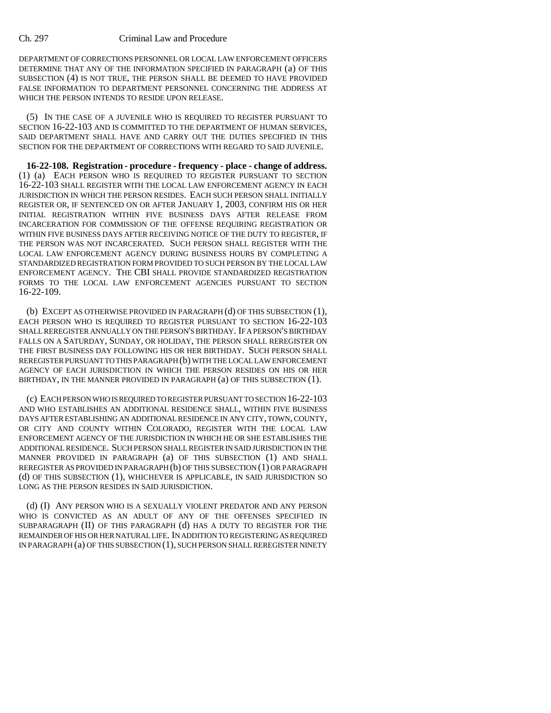DEPARTMENT OF CORRECTIONS PERSONNEL OR LOCAL LAW ENFORCEMENT OFFICERS DETERMINE THAT ANY OF THE INFORMATION SPECIFIED IN PARAGRAPH (a) OF THIS SUBSECTION (4) IS NOT TRUE, THE PERSON SHALL BE DEEMED TO HAVE PROVIDED FALSE INFORMATION TO DEPARTMENT PERSONNEL CONCERNING THE ADDRESS AT WHICH THE PERSON INTENDS TO RESIDE UPON RELEASE.

(5) IN THE CASE OF A JUVENILE WHO IS REQUIRED TO REGISTER PURSUANT TO SECTION 16-22-103 AND IS COMMITTED TO THE DEPARTMENT OF HUMAN SERVICES, SAID DEPARTMENT SHALL HAVE AND CARRY OUT THE DUTIES SPECIFIED IN THIS SECTION FOR THE DEPARTMENT OF CORRECTIONS WITH REGARD TO SAID JUVENILE.

**16-22-108. Registration - procedure - frequency - place - change of address.** (1) (a) EACH PERSON WHO IS REQUIRED TO REGISTER PURSUANT TO SECTION 16-22-103 SHALL REGISTER WITH THE LOCAL LAW ENFORCEMENT AGENCY IN EACH JURISDICTION IN WHICH THE PERSON RESIDES. EACH SUCH PERSON SHALL INITIALLY REGISTER OR, IF SENTENCED ON OR AFTER JANUARY 1, 2003, CONFIRM HIS OR HER INITIAL REGISTRATION WITHIN FIVE BUSINESS DAYS AFTER RELEASE FROM INCARCERATION FOR COMMISSION OF THE OFFENSE REQUIRING REGISTRATION OR WITHIN FIVE BUSINESS DAYS AFTER RECEIVING NOTICE OF THE DUTY TO REGISTER, IF THE PERSON WAS NOT INCARCERATED. SUCH PERSON SHALL REGISTER WITH THE LOCAL LAW ENFORCEMENT AGENCY DURING BUSINESS HOURS BY COMPLETING A STANDARDIZED REGISTRATION FORM PROVIDED TO SUCH PERSON BY THE LOCAL LAW ENFORCEMENT AGENCY. THE CBI SHALL PROVIDE STANDARDIZED REGISTRATION FORMS TO THE LOCAL LAW ENFORCEMENT AGENCIES PURSUANT TO SECTION 16-22-109.

(b) EXCEPT AS OTHERWISE PROVIDED IN PARAGRAPH (d) OF THIS SUBSECTION (1), EACH PERSON WHO IS REQUIRED TO REGISTER PURSUANT TO SECTION 16-22-103 SHALL REREGISTER ANNUALLY ON THE PERSON'S BIRTHDAY. IF A PERSON'S BIRTHDAY FALLS ON A SATURDAY, SUNDAY, OR HOLIDAY, THE PERSON SHALL REREGISTER ON THE FIRST BUSINESS DAY FOLLOWING HIS OR HER BIRTHDAY. SUCH PERSON SHALL REREGISTER PURSUANT TO THIS PARAGRAPH (b) WITH THE LOCAL LAW ENFORCEMENT AGENCY OF EACH JURISDICTION IN WHICH THE PERSON RESIDES ON HIS OR HER BIRTHDAY, IN THE MANNER PROVIDED IN PARAGRAPH (a) OF THIS SUBSECTION (1).

(c) EACH PERSON WHO IS REQUIRED TO REGISTER PURSUANT TO SECTION 16-22-103 AND WHO ESTABLISHES AN ADDITIONAL RESIDENCE SHALL, WITHIN FIVE BUSINESS DAYS AFTER ESTABLISHING AN ADDITIONAL RESIDENCE IN ANY CITY, TOWN, COUNTY, OR CITY AND COUNTY WITHIN COLORADO, REGISTER WITH THE LOCAL LAW ENFORCEMENT AGENCY OF THE JURISDICTION IN WHICH HE OR SHE ESTABLISHES THE ADDITIONAL RESIDENCE. SUCH PERSON SHALL REGISTER IN SAID JURISDICTION IN THE MANNER PROVIDED IN PARAGRAPH (a) OF THIS SUBSECTION (1) AND SHALL REREGISTER AS PROVIDED IN PARAGRAPH (b) OF THIS SUBSECTION (1) OR PARAGRAPH (d) OF THIS SUBSECTION (1), WHICHEVER IS APPLICABLE, IN SAID JURISDICTION SO LONG AS THE PERSON RESIDES IN SAID JURISDICTION.

(d) (I) ANY PERSON WHO IS A SEXUALLY VIOLENT PREDATOR AND ANY PERSON WHO IS CONVICTED AS AN ADULT OF ANY OF THE OFFENSES SPECIFIED IN SUBPARAGRAPH (II) OF THIS PARAGRAPH (d) HAS A DUTY TO REGISTER FOR THE REMAINDER OF HIS OR HER NATURAL LIFE. IN ADDITION TO REGISTERING AS REQUIRED IN PARAGRAPH (a) OF THIS SUBSECTION (1), SUCH PERSON SHALL REREGISTER NINETY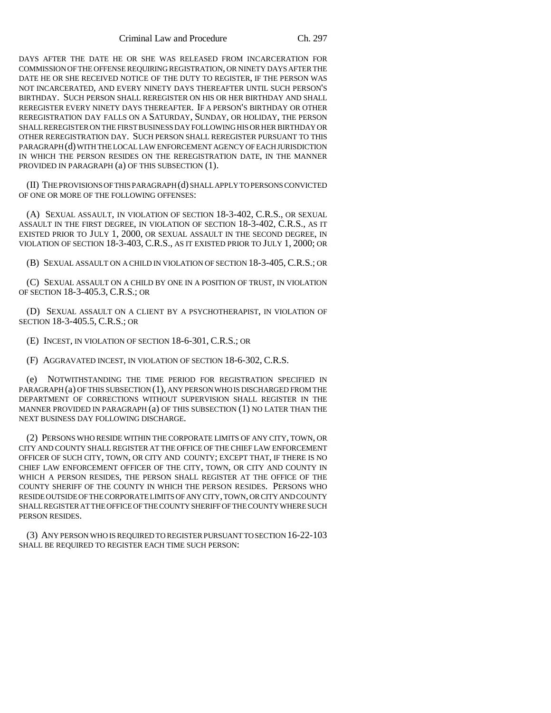DAYS AFTER THE DATE HE OR SHE WAS RELEASED FROM INCARCERATION FOR COMMISSION OF THE OFFENSE REQUIRING REGISTRATION, OR NINETY DAYS AFTER THE DATE HE OR SHE RECEIVED NOTICE OF THE DUTY TO REGISTER, IF THE PERSON WAS NOT INCARCERATED, AND EVERY NINETY DAYS THEREAFTER UNTIL SUCH PERSON'S BIRTHDAY. SUCH PERSON SHALL REREGISTER ON HIS OR HER BIRTHDAY AND SHALL REREGISTER EVERY NINETY DAYS THEREAFTER. IF A PERSON'S BIRTHDAY OR OTHER REREGISTRATION DAY FALLS ON A SATURDAY, SUNDAY, OR HOLIDAY, THE PERSON SHALL REREGISTER ON THE FIRST BUSINESS DAY FOLLOWING HIS OR HER BIRTHDAY OR OTHER REREGISTRATION DAY. SUCH PERSON SHALL REREGISTER PURSUANT TO THIS PARAGRAPH (d) WITH THE LOCAL LAW ENFORCEMENT AGENCY OF EACH JURISDICTION IN WHICH THE PERSON RESIDES ON THE REREGISTRATION DATE, IN THE MANNER PROVIDED IN PARAGRAPH (a) OF THIS SUBSECTION (1).

(II) THE PROVISIONS OF THIS PARAGRAPH (d) SHALL APPLY TO PERSONS CONVICTED OF ONE OR MORE OF THE FOLLOWING OFFENSES:

(A) SEXUAL ASSAULT, IN VIOLATION OF SECTION 18-3-402, C.R.S., OR SEXUAL ASSAULT IN THE FIRST DEGREE, IN VIOLATION OF SECTION 18-3-402, C.R.S., AS IT EXISTED PRIOR TO JULY 1, 2000, OR SEXUAL ASSAULT IN THE SECOND DEGREE, IN VIOLATION OF SECTION 18-3-403, C.R.S., AS IT EXISTED PRIOR TO JULY 1, 2000; OR

(B) SEXUAL ASSAULT ON A CHILD IN VIOLATION OF SECTION 18-3-405, C.R.S.; OR

(C) SEXUAL ASSAULT ON A CHILD BY ONE IN A POSITION OF TRUST, IN VIOLATION OF SECTION 18-3-405.3, C.R.S.; OR

(D) SEXUAL ASSAULT ON A CLIENT BY A PSYCHOTHERAPIST, IN VIOLATION OF SECTION 18-3-405.5, C.R.S.; OR

(E) INCEST, IN VIOLATION OF SECTION 18-6-301, C.R.S.; OR

(F) AGGRAVATED INCEST, IN VIOLATION OF SECTION 18-6-302, C.R.S.

(e) NOTWITHSTANDING THE TIME PERIOD FOR REGISTRATION SPECIFIED IN PARAGRAPH (a) OF THIS SUBSECTION (1), ANY PERSON WHO IS DISCHARGED FROM THE DEPARTMENT OF CORRECTIONS WITHOUT SUPERVISION SHALL REGISTER IN THE MANNER PROVIDED IN PARAGRAPH (a) OF THIS SUBSECTION (1) NO LATER THAN THE NEXT BUSINESS DAY FOLLOWING DISCHARGE.

(2) PERSONS WHO RESIDE WITHIN THE CORPORATE LIMITS OF ANY CITY, TOWN, OR CITY AND COUNTY SHALL REGISTER AT THE OFFICE OF THE CHIEF LAW ENFORCEMENT OFFICER OF SUCH CITY, TOWN, OR CITY AND COUNTY; EXCEPT THAT, IF THERE IS NO CHIEF LAW ENFORCEMENT OFFICER OF THE CITY, TOWN, OR CITY AND COUNTY IN WHICH A PERSON RESIDES, THE PERSON SHALL REGISTER AT THE OFFICE OF THE COUNTY SHERIFF OF THE COUNTY IN WHICH THE PERSON RESIDES. PERSONS WHO RESIDE OUTSIDE OF THE CORPORATE LIMITS OF ANY CITY, TOWN, OR CITY AND COUNTY SHALL REGISTER AT THE OFFICE OF THE COUNTY SHERIFF OF THE COUNTY WHERE SUCH PERSON RESIDES.

(3) ANY PERSON WHO IS REQUIRED TO REGISTER PURSUANT TO SECTION 16-22-103 SHALL BE REQUIRED TO REGISTER EACH TIME SUCH PERSON: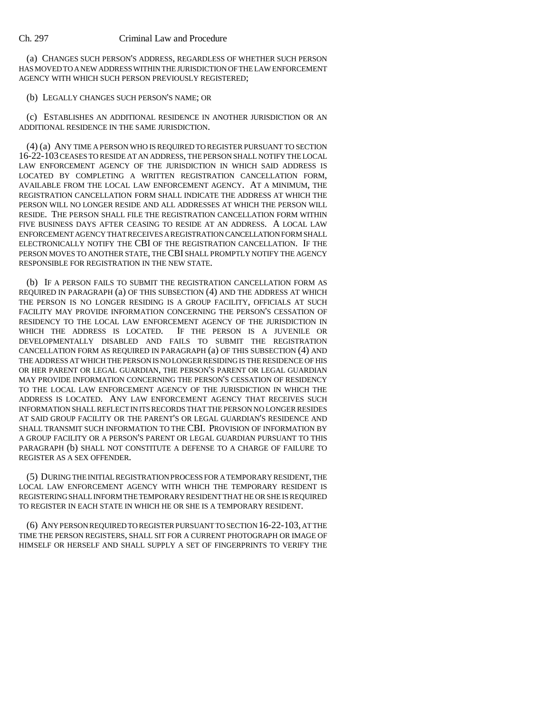(a) CHANGES SUCH PERSON'S ADDRESS, REGARDLESS OF WHETHER SUCH PERSON HAS MOVED TO A NEW ADDRESS WITHIN THE JURISDICTION OF THE LAW ENFORCEMENT AGENCY WITH WHICH SUCH PERSON PREVIOUSLY REGISTERED;

#### (b) LEGALLY CHANGES SUCH PERSON'S NAME; OR

(c) ESTABLISHES AN ADDITIONAL RESIDENCE IN ANOTHER JURISDICTION OR AN ADDITIONAL RESIDENCE IN THE SAME JURISDICTION.

(4) (a) ANY TIME A PERSON WHO IS REQUIRED TO REGISTER PURSUANT TO SECTION 16-22-103 CEASES TO RESIDE AT AN ADDRESS, THE PERSON SHALL NOTIFY THE LOCAL LAW ENFORCEMENT AGENCY OF THE JURISDICTION IN WHICH SAID ADDRESS IS LOCATED BY COMPLETING A WRITTEN REGISTRATION CANCELLATION FORM, AVAILABLE FROM THE LOCAL LAW ENFORCEMENT AGENCY. AT A MINIMUM, THE REGISTRATION CANCELLATION FORM SHALL INDICATE THE ADDRESS AT WHICH THE PERSON WILL NO LONGER RESIDE AND ALL ADDRESSES AT WHICH THE PERSON WILL RESIDE. THE PERSON SHALL FILE THE REGISTRATION CANCELLATION FORM WITHIN FIVE BUSINESS DAYS AFTER CEASING TO RESIDE AT AN ADDRESS. A LOCAL LAW ENFORCEMENT AGENCY THAT RECEIVES A REGISTRATION CANCELLATION FORM SHALL ELECTRONICALLY NOTIFY THE CBI OF THE REGISTRATION CANCELLATION. IF THE PERSON MOVES TO ANOTHER STATE, THE CBI SHALL PROMPTLY NOTIFY THE AGENCY RESPONSIBLE FOR REGISTRATION IN THE NEW STATE.

(b) IF A PERSON FAILS TO SUBMIT THE REGISTRATION CANCELLATION FORM AS REQUIRED IN PARAGRAPH (a) OF THIS SUBSECTION (4) AND THE ADDRESS AT WHICH THE PERSON IS NO LONGER RESIDING IS A GROUP FACILITY, OFFICIALS AT SUCH FACILITY MAY PROVIDE INFORMATION CONCERNING THE PERSON'S CESSATION OF RESIDENCY TO THE LOCAL LAW ENFORCEMENT AGENCY OF THE JURISDICTION IN WHICH THE ADDRESS IS LOCATED. IF THE PERSON IS A JUVENILE OR DEVELOPMENTALLY DISABLED AND FAILS TO SUBMIT THE REGISTRATION CANCELLATION FORM AS REQUIRED IN PARAGRAPH (a) OF THIS SUBSECTION (4) AND THE ADDRESS AT WHICH THE PERSON IS NO LONGER RESIDING IS THE RESIDENCE OF HIS OR HER PARENT OR LEGAL GUARDIAN, THE PERSON'S PARENT OR LEGAL GUARDIAN MAY PROVIDE INFORMATION CONCERNING THE PERSON'S CESSATION OF RESIDENCY TO THE LOCAL LAW ENFORCEMENT AGENCY OF THE JURISDICTION IN WHICH THE ADDRESS IS LOCATED. ANY LAW ENFORCEMENT AGENCY THAT RECEIVES SUCH INFORMATION SHALL REFLECT IN ITS RECORDS THAT THE PERSON NO LONGER RESIDES AT SAID GROUP FACILITY OR THE PARENT'S OR LEGAL GUARDIAN'S RESIDENCE AND SHALL TRANSMIT SUCH INFORMATION TO THE CBI. PROVISION OF INFORMATION BY A GROUP FACILITY OR A PERSON'S PARENT OR LEGAL GUARDIAN PURSUANT TO THIS PARAGRAPH (b) SHALL NOT CONSTITUTE A DEFENSE TO A CHARGE OF FAILURE TO REGISTER AS A SEX OFFENDER.

(5) DURING THE INITIAL REGISTRATION PROCESS FOR A TEMPORARY RESIDENT, THE LOCAL LAW ENFORCEMENT AGENCY WITH WHICH THE TEMPORARY RESIDENT IS REGISTERING SHALL INFORM THE TEMPORARY RESIDENT THAT HE OR SHE IS REQUIRED TO REGISTER IN EACH STATE IN WHICH HE OR SHE IS A TEMPORARY RESIDENT.

(6) ANY PERSON REQUIRED TO REGISTER PURSUANT TO SECTION 16-22-103, AT THE TIME THE PERSON REGISTERS, SHALL SIT FOR A CURRENT PHOTOGRAPH OR IMAGE OF HIMSELF OR HERSELF AND SHALL SUPPLY A SET OF FINGERPRINTS TO VERIFY THE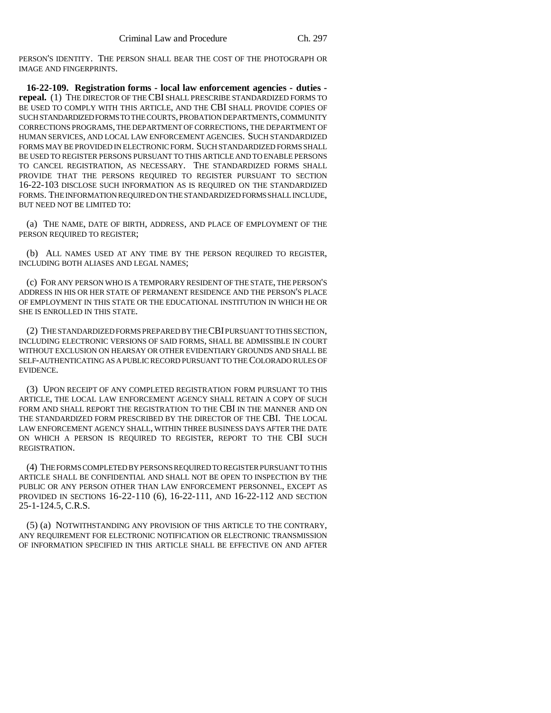PERSON'S IDENTITY. THE PERSON SHALL BEAR THE COST OF THE PHOTOGRAPH OR IMAGE AND FINGERPRINTS.

**16-22-109. Registration forms - local law enforcement agencies - duties repeal.** (1) THE DIRECTOR OF THE CBI SHALL PRESCRIBE STANDARDIZED FORMS TO BE USED TO COMPLY WITH THIS ARTICLE, AND THE CBI SHALL PROVIDE COPIES OF SUCH STANDARDIZED FORMS TO THE COURTS, PROBATION DEPARTMENTS, COMMUNITY CORRECTIONS PROGRAMS, THE DEPARTMENT OF CORRECTIONS, THE DEPARTMENT OF HUMAN SERVICES, AND LOCAL LAW ENFORCEMENT AGENCIES. SUCH STANDARDIZED FORMS MAY BE PROVIDED IN ELECTRONIC FORM. SUCH STANDARDIZED FORMS SHALL BE USED TO REGISTER PERSONS PURSUANT TO THIS ARTICLE AND TO ENABLE PERSONS TO CANCEL REGISTRATION, AS NECESSARY. THE STANDARDIZED FORMS SHALL PROVIDE THAT THE PERSONS REQUIRED TO REGISTER PURSUANT TO SECTION 16-22-103 DISCLOSE SUCH INFORMATION AS IS REQUIRED ON THE STANDARDIZED FORMS. THE INFORMATION REQUIRED ON THE STANDARDIZED FORMS SHALL INCLUDE, BUT NEED NOT BE LIMITED TO:

(a) THE NAME, DATE OF BIRTH, ADDRESS, AND PLACE OF EMPLOYMENT OF THE PERSON REQUIRED TO REGISTER;

(b) ALL NAMES USED AT ANY TIME BY THE PERSON REQUIRED TO REGISTER, INCLUDING BOTH ALIASES AND LEGAL NAMES;

(c) FOR ANY PERSON WHO IS A TEMPORARY RESIDENT OF THE STATE, THE PERSON'S ADDRESS IN HIS OR HER STATE OF PERMANENT RESIDENCE AND THE PERSON'S PLACE OF EMPLOYMENT IN THIS STATE OR THE EDUCATIONAL INSTITUTION IN WHICH HE OR SHE IS ENROLLED IN THIS STATE.

(2) THE STANDARDIZED FORMS PREPARED BY THE CBI PURSUANT TO THIS SECTION, INCLUDING ELECTRONIC VERSIONS OF SAID FORMS, SHALL BE ADMISSIBLE IN COURT WITHOUT EXCLUSION ON HEARSAY OR OTHER EVIDENTIARY GROUNDS AND SHALL BE SELF-AUTHENTICATING AS A PUBLIC RECORD PURSUANT TO THE COLORADO RULES OF EVIDENCE.

(3) UPON RECEIPT OF ANY COMPLETED REGISTRATION FORM PURSUANT TO THIS ARTICLE, THE LOCAL LAW ENFORCEMENT AGENCY SHALL RETAIN A COPY OF SUCH FORM AND SHALL REPORT THE REGISTRATION TO THE CBI IN THE MANNER AND ON THE STANDARDIZED FORM PRESCRIBED BY THE DIRECTOR OF THE CBI. THE LOCAL LAW ENFORCEMENT AGENCY SHALL, WITHIN THREE BUSINESS DAYS AFTER THE DATE ON WHICH A PERSON IS REQUIRED TO REGISTER, REPORT TO THE CBI SUCH REGISTRATION.

(4) THE FORMS COMPLETED BY PERSONS REQUIRED TO REGISTER PURSUANT TO THIS ARTICLE SHALL BE CONFIDENTIAL AND SHALL NOT BE OPEN TO INSPECTION BY THE PUBLIC OR ANY PERSON OTHER THAN LAW ENFORCEMENT PERSONNEL, EXCEPT AS PROVIDED IN SECTIONS 16-22-110 (6), 16-22-111, AND 16-22-112 AND SECTION 25-1-124.5, C.R.S.

(5) (a) NOTWITHSTANDING ANY PROVISION OF THIS ARTICLE TO THE CONTRARY, ANY REQUIREMENT FOR ELECTRONIC NOTIFICATION OR ELECTRONIC TRANSMISSION OF INFORMATION SPECIFIED IN THIS ARTICLE SHALL BE EFFECTIVE ON AND AFTER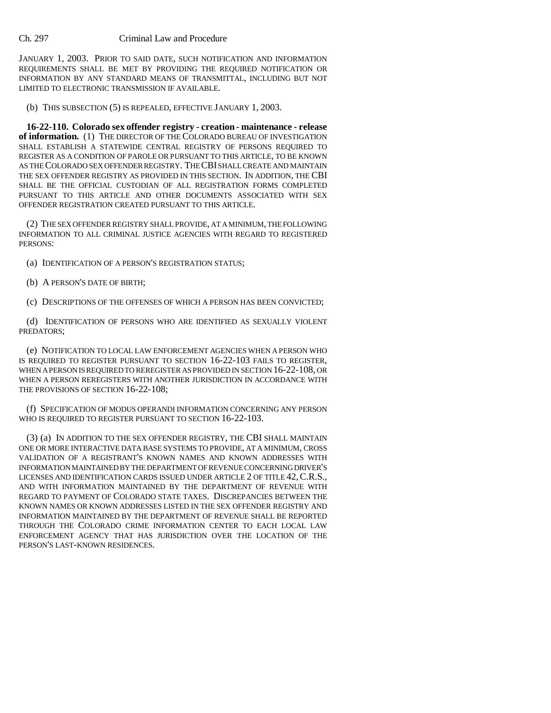JANUARY 1, 2003. PRIOR TO SAID DATE, SUCH NOTIFICATION AND INFORMATION REQUIREMENTS SHALL BE MET BY PROVIDING THE REQUIRED NOTIFICATION OR INFORMATION BY ANY STANDARD MEANS OF TRANSMITTAL, INCLUDING BUT NOT LIMITED TO ELECTRONIC TRANSMISSION IF AVAILABLE.

(b) THIS SUBSECTION (5) IS REPEALED, EFFECTIVE JANUARY 1, 2003.

**16-22-110. Colorado sex offender registry - creation - maintenance - release of information.** (1) THE DIRECTOR OF THE COLORADO BUREAU OF INVESTIGATION SHALL ESTABLISH A STATEWIDE CENTRAL REGISTRY OF PERSONS REQUIRED TO REGISTER AS A CONDITION OF PAROLE OR PURSUANT TO THIS ARTICLE, TO BE KNOWN AS THE COLORADO SEX OFFENDER REGISTRY. THE CBI SHALL CREATE AND MAINTAIN THE SEX OFFENDER REGISTRY AS PROVIDED IN THIS SECTION. IN ADDITION, THE CBI SHALL BE THE OFFICIAL CUSTODIAN OF ALL REGISTRATION FORMS COMPLETED PURSUANT TO THIS ARTICLE AND OTHER DOCUMENTS ASSOCIATED WITH SEX OFFENDER REGISTRATION CREATED PURSUANT TO THIS ARTICLE.

(2) THE SEX OFFENDER REGISTRY SHALL PROVIDE, AT A MINIMUM, THE FOLLOWING INFORMATION TO ALL CRIMINAL JUSTICE AGENCIES WITH REGARD TO REGISTERED PERSONS:

- (a) IDENTIFICATION OF A PERSON'S REGISTRATION STATUS;
- (b) A PERSON'S DATE OF BIRTH;
- (c) DESCRIPTIONS OF THE OFFENSES OF WHICH A PERSON HAS BEEN CONVICTED;

(d) IDENTIFICATION OF PERSONS WHO ARE IDENTIFIED AS SEXUALLY VIOLENT PREDATORS;

(e) NOTIFICATION TO LOCAL LAW ENFORCEMENT AGENCIES WHEN A PERSON WHO IS REQUIRED TO REGISTER PURSUANT TO SECTION 16-22-103 FAILS TO REGISTER, WHEN A PERSON IS REQUIRED TO REREGISTER AS PROVIDED IN SECTION 16-22-108, OR WHEN A PERSON REREGISTERS WITH ANOTHER JURISDICTION IN ACCORDANCE WITH THE PROVISIONS OF SECTION 16-22-108:

(f) SPECIFICATION OF MODUS OPERANDI INFORMATION CONCERNING ANY PERSON WHO IS REQUIRED TO REGISTER PURSUANT TO SECTION 16-22-103.

(3) (a) IN ADDITION TO THE SEX OFFENDER REGISTRY, THE CBI SHALL MAINTAIN ONE OR MORE INTERACTIVE DATA BASE SYSTEMS TO PROVIDE, AT A MINIMUM, CROSS VALIDATION OF A REGISTRANT'S KNOWN NAMES AND KNOWN ADDRESSES WITH INFORMATION MAINTAINED BY THE DEPARTMENT OF REVENUE CONCERNING DRIVER'S LICENSES AND IDENTIFICATION CARDS ISSUED UNDER ARTICLE 2 OF TITLE 42, C.R.S., AND WITH INFORMATION MAINTAINED BY THE DEPARTMENT OF REVENUE WITH REGARD TO PAYMENT OF COLORADO STATE TAXES. DISCREPANCIES BETWEEN THE KNOWN NAMES OR KNOWN ADDRESSES LISTED IN THE SEX OFFENDER REGISTRY AND INFORMATION MAINTAINED BY THE DEPARTMENT OF REVENUE SHALL BE REPORTED THROUGH THE COLORADO CRIME INFORMATION CENTER TO EACH LOCAL LAW ENFORCEMENT AGENCY THAT HAS JURISDICTION OVER THE LOCATION OF THE PERSON'S LAST-KNOWN RESIDENCES.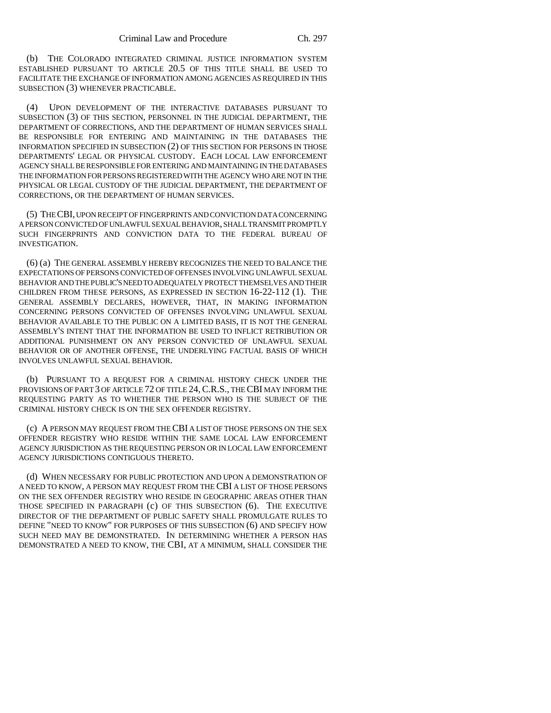(b) THE COLORADO INTEGRATED CRIMINAL JUSTICE INFORMATION SYSTEM ESTABLISHED PURSUANT TO ARTICLE 20.5 OF THIS TITLE SHALL BE USED TO FACILITATE THE EXCHANGE OF INFORMATION AMONG AGENCIES AS REQUIRED IN THIS SUBSECTION (3) WHENEVER PRACTICABLE.

(4) UPON DEVELOPMENT OF THE INTERACTIVE DATABASES PURSUANT TO SUBSECTION (3) OF THIS SECTION, PERSONNEL IN THE JUDICIAL DEPARTMENT, THE DEPARTMENT OF CORRECTIONS, AND THE DEPARTMENT OF HUMAN SERVICES SHALL BE RESPONSIBLE FOR ENTERING AND MAINTAINING IN THE DATABASES THE INFORMATION SPECIFIED IN SUBSECTION (2) OF THIS SECTION FOR PERSONS IN THOSE DEPARTMENTS' LEGAL OR PHYSICAL CUSTODY. EACH LOCAL LAW ENFORCEMENT AGENCY SHALL BE RESPONSIBLE FOR ENTERING AND MAINTAINING IN THE DATABASES THE INFORMATION FOR PERSONS REGISTERED WITH THE AGENCY WHO ARE NOT IN THE PHYSICAL OR LEGAL CUSTODY OF THE JUDICIAL DEPARTMENT, THE DEPARTMENT OF CORRECTIONS, OR THE DEPARTMENT OF HUMAN SERVICES.

(5) THE CBI, UPON RECEIPT OF FINGERPRINTS AND CONVICTION DATA CONCERNING A PERSON CONVICTED OF UNLAWFUL SEXUAL BEHAVIOR, SHALL TRANSMIT PROMPTLY SUCH FINGERPRINTS AND CONVICTION DATA TO THE FEDERAL BUREAU OF INVESTIGATION.

(6) (a) THE GENERAL ASSEMBLY HEREBY RECOGNIZES THE NEED TO BALANCE THE EXPECTATIONS OF PERSONS CONVICTED OF OFFENSES INVOLVING UNLAWFUL SEXUAL BEHAVIOR AND THE PUBLIC'S NEED TO ADEQUATELY PROTECT THEMSELVES AND THEIR CHILDREN FROM THESE PERSONS, AS EXPRESSED IN SECTION 16-22-112 (1). THE GENERAL ASSEMBLY DECLARES, HOWEVER, THAT, IN MAKING INFORMATION CONCERNING PERSONS CONVICTED OF OFFENSES INVOLVING UNLAWFUL SEXUAL BEHAVIOR AVAILABLE TO THE PUBLIC ON A LIMITED BASIS, IT IS NOT THE GENERAL ASSEMBLY'S INTENT THAT THE INFORMATION BE USED TO INFLICT RETRIBUTION OR ADDITIONAL PUNISHMENT ON ANY PERSON CONVICTED OF UNLAWFUL SEXUAL BEHAVIOR OR OF ANOTHER OFFENSE, THE UNDERLYING FACTUAL BASIS OF WHICH INVOLVES UNLAWFUL SEXUAL BEHAVIOR.

(b) PURSUANT TO A REQUEST FOR A CRIMINAL HISTORY CHECK UNDER THE PROVISIONS OF PART 3 OF ARTICLE 72 OF TITLE 24,C.R.S., THE CBI MAY INFORM THE REQUESTING PARTY AS TO WHETHER THE PERSON WHO IS THE SUBJECT OF THE CRIMINAL HISTORY CHECK IS ON THE SEX OFFENDER REGISTRY.

(c) A PERSON MAY REQUEST FROM THE CBI A LIST OF THOSE PERSONS ON THE SEX OFFENDER REGISTRY WHO RESIDE WITHIN THE SAME LOCAL LAW ENFORCEMENT AGENCY JURISDICTION AS THE REQUESTING PERSON OR IN LOCAL LAW ENFORCEMENT AGENCY JURISDICTIONS CONTIGUOUS THERETO.

(d) WHEN NECESSARY FOR PUBLIC PROTECTION AND UPON A DEMONSTRATION OF A NEED TO KNOW, A PERSON MAY REQUEST FROM THE CBI A LIST OF THOSE PERSONS ON THE SEX OFFENDER REGISTRY WHO RESIDE IN GEOGRAPHIC AREAS OTHER THAN THOSE SPECIFIED IN PARAGRAPH (c) OF THIS SUBSECTION (6). THE EXECUTIVE DIRECTOR OF THE DEPARTMENT OF PUBLIC SAFETY SHALL PROMULGATE RULES TO DEFINE "NEED TO KNOW" FOR PURPOSES OF THIS SUBSECTION (6) AND SPECIFY HOW SUCH NEED MAY BE DEMONSTRATED. IN DETERMINING WHETHER A PERSON HAS DEMONSTRATED A NEED TO KNOW, THE CBI, AT A MINIMUM, SHALL CONSIDER THE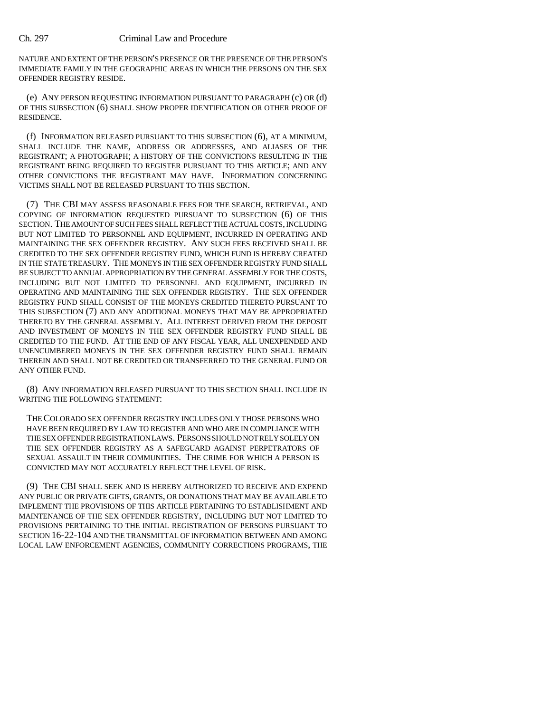NATURE AND EXTENT OF THE PERSON'S PRESENCE OR THE PRESENCE OF THE PERSON'S IMMEDIATE FAMILY IN THE GEOGRAPHIC AREAS IN WHICH THE PERSONS ON THE SEX OFFENDER REGISTRY RESIDE.

(e) ANY PERSON REQUESTING INFORMATION PURSUANT TO PARAGRAPH (c) OR (d) OF THIS SUBSECTION (6) SHALL SHOW PROPER IDENTIFICATION OR OTHER PROOF OF RESIDENCE.

(f) INFORMATION RELEASED PURSUANT TO THIS SUBSECTION (6), AT A MINIMUM, SHALL INCLUDE THE NAME, ADDRESS OR ADDRESSES, AND ALIASES OF THE REGISTRANT; A PHOTOGRAPH; A HISTORY OF THE CONVICTIONS RESULTING IN THE REGISTRANT BEING REQUIRED TO REGISTER PURSUANT TO THIS ARTICLE; AND ANY OTHER CONVICTIONS THE REGISTRANT MAY HAVE. INFORMATION CONCERNING VICTIMS SHALL NOT BE RELEASED PURSUANT TO THIS SECTION.

(7) THE CBI MAY ASSESS REASONABLE FEES FOR THE SEARCH, RETRIEVAL, AND COPYING OF INFORMATION REQUESTED PURSUANT TO SUBSECTION (6) OF THIS SECTION. THE AMOUNT OF SUCH FEES SHALL REFLECT THE ACTUAL COSTS, INCLUDING BUT NOT LIMITED TO PERSONNEL AND EQUIPMENT, INCURRED IN OPERATING AND MAINTAINING THE SEX OFFENDER REGISTRY. ANY SUCH FEES RECEIVED SHALL BE CREDITED TO THE SEX OFFENDER REGISTRY FUND, WHICH FUND IS HEREBY CREATED IN THE STATE TREASURY. THE MONEYS IN THE SEX OFFENDER REGISTRY FUND SHALL BE SUBJECT TO ANNUAL APPROPRIATION BY THE GENERAL ASSEMBLY FOR THE COSTS, INCLUDING BUT NOT LIMITED TO PERSONNEL AND EQUIPMENT, INCURRED IN OPERATING AND MAINTAINING THE SEX OFFENDER REGISTRY. THE SEX OFFENDER REGISTRY FUND SHALL CONSIST OF THE MONEYS CREDITED THERETO PURSUANT TO THIS SUBSECTION (7) AND ANY ADDITIONAL MONEYS THAT MAY BE APPROPRIATED THERETO BY THE GENERAL ASSEMBLY. ALL INTEREST DERIVED FROM THE DEPOSIT AND INVESTMENT OF MONEYS IN THE SEX OFFENDER REGISTRY FUND SHALL BE CREDITED TO THE FUND. AT THE END OF ANY FISCAL YEAR, ALL UNEXPENDED AND UNENCUMBERED MONEYS IN THE SEX OFFENDER REGISTRY FUND SHALL REMAIN THEREIN AND SHALL NOT BE CREDITED OR TRANSFERRED TO THE GENERAL FUND OR ANY OTHER FUND.

(8) ANY INFORMATION RELEASED PURSUANT TO THIS SECTION SHALL INCLUDE IN WRITING THE FOLLOWING STATEMENT:

THE COLORADO SEX OFFENDER REGISTRY INCLUDES ONLY THOSE PERSONS WHO HAVE BEEN REQUIRED BY LAW TO REGISTER AND WHO ARE IN COMPLIANCE WITH THE SEX OFFENDER REGISTRATION LAWS. PERSONS SHOULD NOT RELY SOLELY ON THE SEX OFFENDER REGISTRY AS A SAFEGUARD AGAINST PERPETRATORS OF SEXUAL ASSAULT IN THEIR COMMUNITIES. THE CRIME FOR WHICH A PERSON IS CONVICTED MAY NOT ACCURATELY REFLECT THE LEVEL OF RISK.

(9) THE CBI SHALL SEEK AND IS HEREBY AUTHORIZED TO RECEIVE AND EXPEND ANY PUBLIC OR PRIVATE GIFTS, GRANTS, OR DONATIONS THAT MAY BE AVAILABLE TO IMPLEMENT THE PROVISIONS OF THIS ARTICLE PERTAINING TO ESTABLISHMENT AND MAINTENANCE OF THE SEX OFFENDER REGISTRY, INCLUDING BUT NOT LIMITED TO PROVISIONS PERTAINING TO THE INITIAL REGISTRATION OF PERSONS PURSUANT TO SECTION 16-22-104 AND THE TRANSMITTAL OF INFORMATION BETWEEN AND AMONG LOCAL LAW ENFORCEMENT AGENCIES, COMMUNITY CORRECTIONS PROGRAMS, THE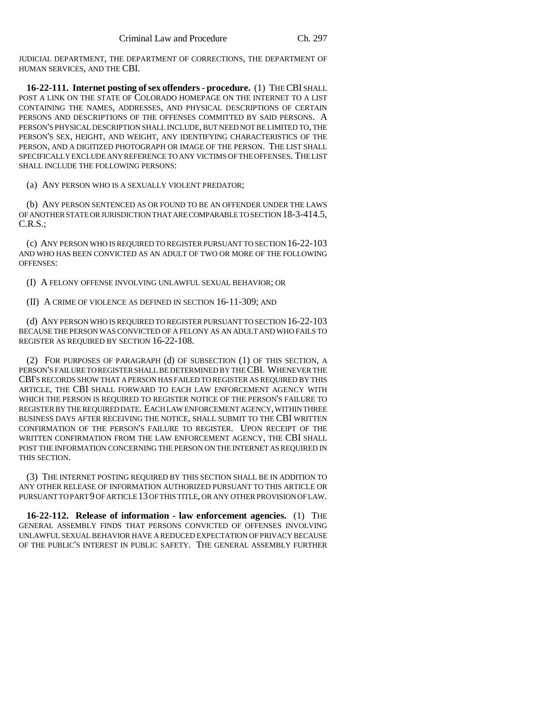JUDICIAL DEPARTMENT, THE DEPARTMENT OF CORRECTIONS, THE DEPARTMENT OF HUMAN SERVICES, AND THE CBI.

**16-22-111. Internet posting of sex offenders - procedure.** (1) THE CBI SHALL POST A LINK ON THE STATE OF COLORADO HOMEPAGE ON THE INTERNET TO A LIST CONTAINING THE NAMES, ADDRESSES, AND PHYSICAL DESCRIPTIONS OF CERTAIN PERSONS AND DESCRIPTIONS OF THE OFFENSES COMMITTED BY SAID PERSONS. A PERSON'S PHYSICAL DESCRIPTION SHALL INCLUDE, BUT NEED NOT BE LIMITED TO, THE PERSON'S SEX, HEIGHT, AND WEIGHT, ANY IDENTIFYING CHARACTERISTICS OF THE PERSON, AND A DIGITIZED PHOTOGRAPH OR IMAGE OF THE PERSON. THE LIST SHALL SPECIFICALLY EXCLUDE ANY REFERENCE TO ANY VICTIMS OF THE OFFENSES. THE LIST SHALL INCLUDE THE FOLLOWING PERSONS:

(a) ANY PERSON WHO IS A SEXUALLY VIOLENT PREDATOR;

(b) ANY PERSON SENTENCED AS OR FOUND TO BE AN OFFENDER UNDER THE LAWS OF ANOTHER STATE OR JURISDICTION THAT ARE COMPARABLE TO SECTION 18-3-414.5, C.R.S.;

(c) ANY PERSON WHO IS REQUIRED TO REGISTER PURSUANT TO SECTION 16-22-103 AND WHO HAS BEEN CONVICTED AS AN ADULT OF TWO OR MORE OF THE FOLLOWING OFFENSES:

(I) A FELONY OFFENSE INVOLVING UNLAWFUL SEXUAL BEHAVIOR; OR

(II) A CRIME OF VIOLENCE AS DEFINED IN SECTION 16-11-309; AND

(d) ANY PERSON WHO IS REQUIRED TO REGISTER PURSUANT TO SECTION 16-22-103 BECAUSE THE PERSON WAS CONVICTED OF A FELONY AS AN ADULT AND WHO FAILS TO REGISTER AS REQUIRED BY SECTION 16-22-108.

(2) FOR PURPOSES OF PARAGRAPH (d) OF SUBSECTION (1) OF THIS SECTION, A PERSON'S FAILURE TO REGISTER SHALL BE DETERMINED BY THE CBI. WHENEVER THE CBI'S RECORDS SHOW THAT A PERSON HAS FAILED TO REGISTER AS REQUIRED BY THIS ARTICLE, THE CBI SHALL FORWARD TO EACH LAW ENFORCEMENT AGENCY WITH WHICH THE PERSON IS REQUIRED TO REGISTER NOTICE OF THE PERSON'S FAILURE TO REGISTER BY THE REQUIRED DATE. EACH LAW ENFORCEMENT AGENCY, WITHIN THREE BUSINESS DAYS AFTER RECEIVING THE NOTICE, SHALL SUBMIT TO THE CBI WRITTEN CONFIRMATION OF THE PERSON'S FAILURE TO REGISTER. UPON RECEIPT OF THE WRITTEN CONFIRMATION FROM THE LAW ENFORCEMENT AGENCY, THE CBI SHALL POST THE INFORMATION CONCERNING THE PERSON ON THE INTERNET AS REQUIRED IN THIS SECTION.

(3) THE INTERNET POSTING REQUIRED BY THIS SECTION SHALL BE IN ADDITION TO ANY OTHER RELEASE OF INFORMATION AUTHORIZED PURSUANT TO THIS ARTICLE OR PURSUANT TO PART 9 OF ARTICLE 13 OF THIS TITLE, OR ANY OTHER PROVISION OF LAW.

**16-22-112. Release of information - law enforcement agencies.** (1) THE GENERAL ASSEMBLY FINDS THAT PERSONS CONVICTED OF OFFENSES INVOLVING UNLAWFUL SEXUAL BEHAVIOR HAVE A REDUCED EXPECTATION OF PRIVACY BECAUSE OF THE PUBLIC'S INTEREST IN PUBLIC SAFETY. THE GENERAL ASSEMBLY FURTHER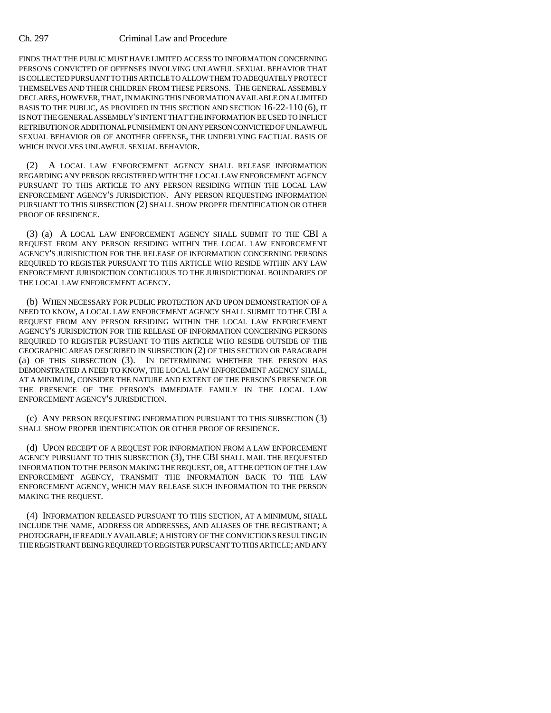FINDS THAT THE PUBLIC MUST HAVE LIMITED ACCESS TO INFORMATION CONCERNING PERSONS CONVICTED OF OFFENSES INVOLVING UNLAWFUL SEXUAL BEHAVIOR THAT IS COLLECTED PURSUANT TO THIS ARTICLE TO ALLOW THEM TO ADEQUATELY PROTECT THEMSELVES AND THEIR CHILDREN FROM THESE PERSONS. THE GENERAL ASSEMBLY DECLARES, HOWEVER, THAT, IN MAKING THIS INFORMATION AVAILABLE ON A LIMITED BASIS TO THE PUBLIC, AS PROVIDED IN THIS SECTION AND SECTION 16-22-110 (6), IT IS NOT THE GENERAL ASSEMBLY'S INTENT THAT THE INFORMATION BE USED TO INFLICT RETRIBUTION OR ADDITIONAL PUNISHMENT ON ANY PERSON CONVICTED OF UNLAWFUL SEXUAL BEHAVIOR OR OF ANOTHER OFFENSE, THE UNDERLYING FACTUAL BASIS OF WHICH INVOLVES UNLAWFUL SEXUAL BEHAVIOR.

(2) A LOCAL LAW ENFORCEMENT AGENCY SHALL RELEASE INFORMATION REGARDING ANY PERSON REGISTERED WITH THE LOCAL LAW ENFORCEMENT AGENCY PURSUANT TO THIS ARTICLE TO ANY PERSON RESIDING WITHIN THE LOCAL LAW ENFORCEMENT AGENCY'S JURISDICTION. ANY PERSON REQUESTING INFORMATION PURSUANT TO THIS SUBSECTION (2) SHALL SHOW PROPER IDENTIFICATION OR OTHER PROOF OF RESIDENCE.

(3) (a) A LOCAL LAW ENFORCEMENT AGENCY SHALL SUBMIT TO THE CBI A REQUEST FROM ANY PERSON RESIDING WITHIN THE LOCAL LAW ENFORCEMENT AGENCY'S JURISDICTION FOR THE RELEASE OF INFORMATION CONCERNING PERSONS REQUIRED TO REGISTER PURSUANT TO THIS ARTICLE WHO RESIDE WITHIN ANY LAW ENFORCEMENT JURISDICTION CONTIGUOUS TO THE JURISDICTIONAL BOUNDARIES OF THE LOCAL LAW ENFORCEMENT AGENCY.

(b) WHEN NECESSARY FOR PUBLIC PROTECTION AND UPON DEMONSTRATION OF A NEED TO KNOW, A LOCAL LAW ENFORCEMENT AGENCY SHALL SUBMIT TO THE CBI A REQUEST FROM ANY PERSON RESIDING WITHIN THE LOCAL LAW ENFORCEMENT AGENCY'S JURISDICTION FOR THE RELEASE OF INFORMATION CONCERNING PERSONS REQUIRED TO REGISTER PURSUANT TO THIS ARTICLE WHO RESIDE OUTSIDE OF THE GEOGRAPHIC AREAS DESCRIBED IN SUBSECTION (2) OF THIS SECTION OR PARAGRAPH (a) OF THIS SUBSECTION (3). IN DETERMINING WHETHER THE PERSON HAS DEMONSTRATED A NEED TO KNOW, THE LOCAL LAW ENFORCEMENT AGENCY SHALL, AT A MINIMUM, CONSIDER THE NATURE AND EXTENT OF THE PERSON'S PRESENCE OR THE PRESENCE OF THE PERSON'S IMMEDIATE FAMILY IN THE LOCAL LAW ENFORCEMENT AGENCY'S JURISDICTION.

(c) ANY PERSON REQUESTING INFORMATION PURSUANT TO THIS SUBSECTION (3) SHALL SHOW PROPER IDENTIFICATION OR OTHER PROOF OF RESIDENCE.

(d) UPON RECEIPT OF A REQUEST FOR INFORMATION FROM A LAW ENFORCEMENT AGENCY PURSUANT TO THIS SUBSECTION (3), THE CBI SHALL MAIL THE REQUESTED INFORMATION TO THE PERSON MAKING THE REQUEST, OR, AT THE OPTION OF THE LAW ENFORCEMENT AGENCY, TRANSMIT THE INFORMATION BACK TO THE LAW ENFORCEMENT AGENCY, WHICH MAY RELEASE SUCH INFORMATION TO THE PERSON MAKING THE REQUEST.

(4) INFORMATION RELEASED PURSUANT TO THIS SECTION, AT A MINIMUM, SHALL INCLUDE THE NAME, ADDRESS OR ADDRESSES, AND ALIASES OF THE REGISTRANT; A PHOTOGRAPH, IF READILY AVAILABLE; A HISTORY OF THE CONVICTIONS RESULTING IN THE REGISTRANT BEING REQUIRED TO REGISTER PURSUANT TO THIS ARTICLE; AND ANY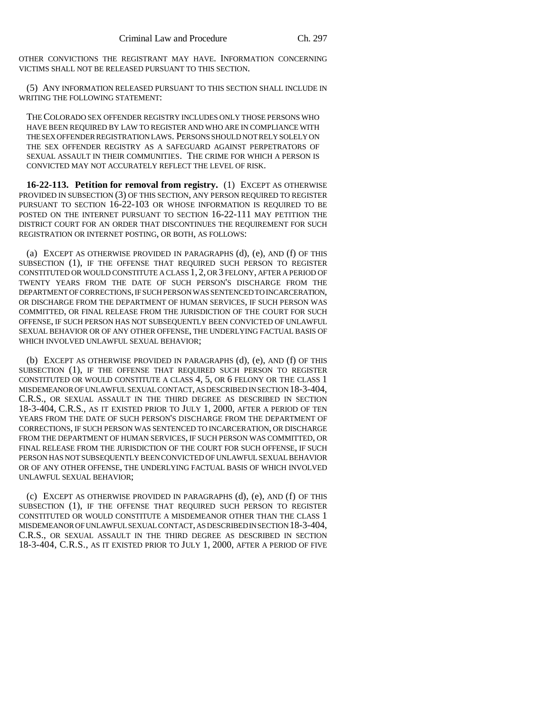OTHER CONVICTIONS THE REGISTRANT MAY HAVE. INFORMATION CONCERNING VICTIMS SHALL NOT BE RELEASED PURSUANT TO THIS SECTION.

(5) ANY INFORMATION RELEASED PURSUANT TO THIS SECTION SHALL INCLUDE IN WRITING THE FOLLOWING STATEMENT:

THE COLORADO SEX OFFENDER REGISTRY INCLUDES ONLY THOSE PERSONS WHO HAVE BEEN REQUIRED BY LAW TO REGISTER AND WHO ARE IN COMPLIANCE WITH THE SEX OFFENDER REGISTRATION LAWS. PERSONS SHOULD NOT RELY SOLELY ON THE SEX OFFENDER REGISTRY AS A SAFEGUARD AGAINST PERPETRATORS OF SEXUAL ASSAULT IN THEIR COMMUNITIES. THE CRIME FOR WHICH A PERSON IS CONVICTED MAY NOT ACCURATELY REFLECT THE LEVEL OF RISK.

**16-22-113. Petition for removal from registry.** (1) EXCEPT AS OTHERWISE PROVIDED IN SUBSECTION (3) OF THIS SECTION, ANY PERSON REQUIRED TO REGISTER PURSUANT TO SECTION 16-22-103 OR WHOSE INFORMATION IS REQUIRED TO BE POSTED ON THE INTERNET PURSUANT TO SECTION 16-22-111 MAY PETITION THE DISTRICT COURT FOR AN ORDER THAT DISCONTINUES THE REQUIREMENT FOR SUCH REGISTRATION OR INTERNET POSTING, OR BOTH, AS FOLLOWS:

(a) EXCEPT AS OTHERWISE PROVIDED IN PARAGRAPHS (d), (e), AND (f) OF THIS SUBSECTION (1), IF THE OFFENSE THAT REQUIRED SUCH PERSON TO REGISTER CONSTITUTED OR WOULD CONSTITUTE A CLASS 1, 2, OR 3 FELONY, AFTER A PERIOD OF TWENTY YEARS FROM THE DATE OF SUCH PERSON'S DISCHARGE FROM THE DEPARTMENT OF CORRECTIONS, IF SUCH PERSON WAS SENTENCED TO INCARCERATION, OR DISCHARGE FROM THE DEPARTMENT OF HUMAN SERVICES, IF SUCH PERSON WAS COMMITTED, OR FINAL RELEASE FROM THE JURISDICTION OF THE COURT FOR SUCH OFFENSE, IF SUCH PERSON HAS NOT SUBSEQUENTLY BEEN CONVICTED OF UNLAWFUL SEXUAL BEHAVIOR OR OF ANY OTHER OFFENSE, THE UNDERLYING FACTUAL BASIS OF WHICH INVOLVED UNLAWFUL SEXUAL BEHAVIOR;

(b) EXCEPT AS OTHERWISE PROVIDED IN PARAGRAPHS (d), (e), AND (f) OF THIS SUBSECTION (1), IF THE OFFENSE THAT REQUIRED SUCH PERSON TO REGISTER CONSTITUTED OR WOULD CONSTITUTE A CLASS 4, 5, OR 6 FELONY OR THE CLASS 1 MISDEMEANOR OF UNLAWFUL SEXUAL CONTACT, AS DESCRIBED IN SECTION 18-3-404, C.R.S., OR SEXUAL ASSAULT IN THE THIRD DEGREE AS DESCRIBED IN SECTION 18-3-404, C.R.S., AS IT EXISTED PRIOR TO JULY 1, 2000, AFTER A PERIOD OF TEN YEARS FROM THE DATE OF SUCH PERSON'S DISCHARGE FROM THE DEPARTMENT OF CORRECTIONS, IF SUCH PERSON WAS SENTENCED TO INCARCERATION, OR DISCHARGE FROM THE DEPARTMENT OF HUMAN SERVICES, IF SUCH PERSON WAS COMMITTED, OR FINAL RELEASE FROM THE JURISDICTION OF THE COURT FOR SUCH OFFENSE, IF SUCH PERSON HAS NOT SUBSEQUENTLY BEEN CONVICTED OF UNLAWFUL SEXUAL BEHAVIOR OR OF ANY OTHER OFFENSE, THE UNDERLYING FACTUAL BASIS OF WHICH INVOLVED UNLAWFUL SEXUAL BEHAVIOR;

(c) EXCEPT AS OTHERWISE PROVIDED IN PARAGRAPHS (d), (e), AND (f) OF THIS SUBSECTION (1), IF THE OFFENSE THAT REQUIRED SUCH PERSON TO REGISTER CONSTITUTED OR WOULD CONSTITUTE A MISDEMEANOR OTHER THAN THE CLASS 1 MISDEMEANOR OF UNLAWFUL SEXUAL CONTACT, AS DESCRIBED IN SECTION 18-3-404, C.R.S., OR SEXUAL ASSAULT IN THE THIRD DEGREE AS DESCRIBED IN SECTION 18-3-404, C.R.S., AS IT EXISTED PRIOR TO JULY 1, 2000, AFTER A PERIOD OF FIVE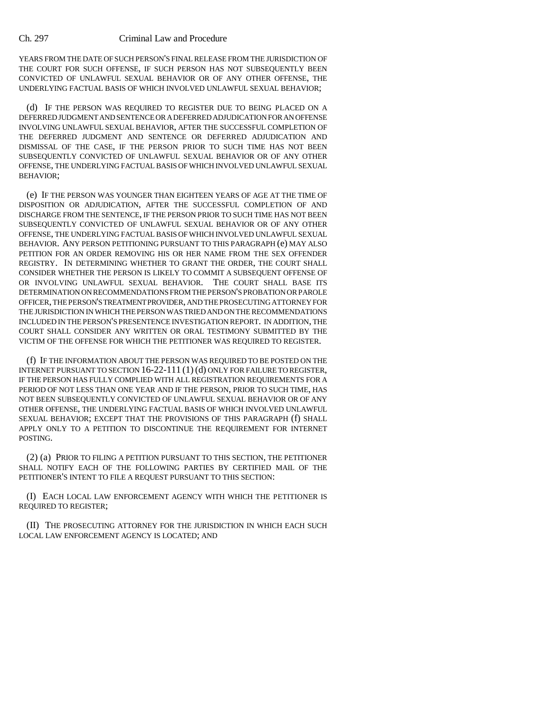YEARS FROM THE DATE OF SUCH PERSON'S FINAL RELEASE FROM THE JURISDICTION OF THE COURT FOR SUCH OFFENSE, IF SUCH PERSON HAS NOT SUBSEQUENTLY BEEN CONVICTED OF UNLAWFUL SEXUAL BEHAVIOR OR OF ANY OTHER OFFENSE, THE UNDERLYING FACTUAL BASIS OF WHICH INVOLVED UNLAWFUL SEXUAL BEHAVIOR;

(d) IF THE PERSON WAS REQUIRED TO REGISTER DUE TO BEING PLACED ON A DEFERRED JUDGMENT AND SENTENCE OR A DEFERRED ADJUDICATION FOR AN OFFENSE INVOLVING UNLAWFUL SEXUAL BEHAVIOR, AFTER THE SUCCESSFUL COMPLETION OF THE DEFERRED JUDGMENT AND SENTENCE OR DEFERRED ADJUDICATION AND DISMISSAL OF THE CASE, IF THE PERSON PRIOR TO SUCH TIME HAS NOT BEEN SUBSEQUENTLY CONVICTED OF UNLAWFUL SEXUAL BEHAVIOR OR OF ANY OTHER OFFENSE, THE UNDERLYING FACTUAL BASIS OF WHICH INVOLVED UNLAWFUL SEXUAL BEHAVIOR;

(e) IF THE PERSON WAS YOUNGER THAN EIGHTEEN YEARS OF AGE AT THE TIME OF DISPOSITION OR ADJUDICATION, AFTER THE SUCCESSFUL COMPLETION OF AND DISCHARGE FROM THE SENTENCE, IF THE PERSON PRIOR TO SUCH TIME HAS NOT BEEN SUBSEQUENTLY CONVICTED OF UNLAWFUL SEXUAL BEHAVIOR OR OF ANY OTHER OFFENSE, THE UNDERLYING FACTUAL BASIS OF WHICH INVOLVED UNLAWFUL SEXUAL BEHAVIOR. ANY PERSON PETITIONING PURSUANT TO THIS PARAGRAPH (e) MAY ALSO PETITION FOR AN ORDER REMOVING HIS OR HER NAME FROM THE SEX OFFENDER REGISTRY. IN DETERMINING WHETHER TO GRANT THE ORDER, THE COURT SHALL CONSIDER WHETHER THE PERSON IS LIKELY TO COMMIT A SUBSEQUENT OFFENSE OF OR INVOLVING UNLAWFUL SEXUAL BEHAVIOR. THE COURT SHALL BASE ITS DETERMINATION ON RECOMMENDATIONS FROM THE PERSON'S PROBATION OR PAROLE OFFICER, THE PERSON'S TREATMENT PROVIDER, AND THE PROSECUTING ATTORNEY FOR THE JURISDICTION IN WHICH THE PERSON WAS TRIED AND ON THE RECOMMENDATIONS INCLUDED IN THE PERSON'S PRESENTENCE INVESTIGATION REPORT. IN ADDITION, THE COURT SHALL CONSIDER ANY WRITTEN OR ORAL TESTIMONY SUBMITTED BY THE VICTIM OF THE OFFENSE FOR WHICH THE PETITIONER WAS REQUIRED TO REGISTER.

(f) IF THE INFORMATION ABOUT THE PERSON WAS REQUIRED TO BE POSTED ON THE INTERNET PURSUANT TO SECTION 16-22-111 (1) (d) ONLY FOR FAILURE TO REGISTER, IF THE PERSON HAS FULLY COMPLIED WITH ALL REGISTRATION REQUIREMENTS FOR A PERIOD OF NOT LESS THAN ONE YEAR AND IF THE PERSON, PRIOR TO SUCH TIME, HAS NOT BEEN SUBSEQUENTLY CONVICTED OF UNLAWFUL SEXUAL BEHAVIOR OR OF ANY OTHER OFFENSE, THE UNDERLYING FACTUAL BASIS OF WHICH INVOLVED UNLAWFUL SEXUAL BEHAVIOR; EXCEPT THAT THE PROVISIONS OF THIS PARAGRAPH (f) SHALL APPLY ONLY TO A PETITION TO DISCONTINUE THE REQUIREMENT FOR INTERNET POSTING.

(2) (a) PRIOR TO FILING A PETITION PURSUANT TO THIS SECTION, THE PETITIONER SHALL NOTIFY EACH OF THE FOLLOWING PARTIES BY CERTIFIED MAIL OF THE PETITIONER'S INTENT TO FILE A REQUEST PURSUANT TO THIS SECTION:

(I) EACH LOCAL LAW ENFORCEMENT AGENCY WITH WHICH THE PETITIONER IS REQUIRED TO REGISTER;

(II) THE PROSECUTING ATTORNEY FOR THE JURISDICTION IN WHICH EACH SUCH LOCAL LAW ENFORCEMENT AGENCY IS LOCATED; AND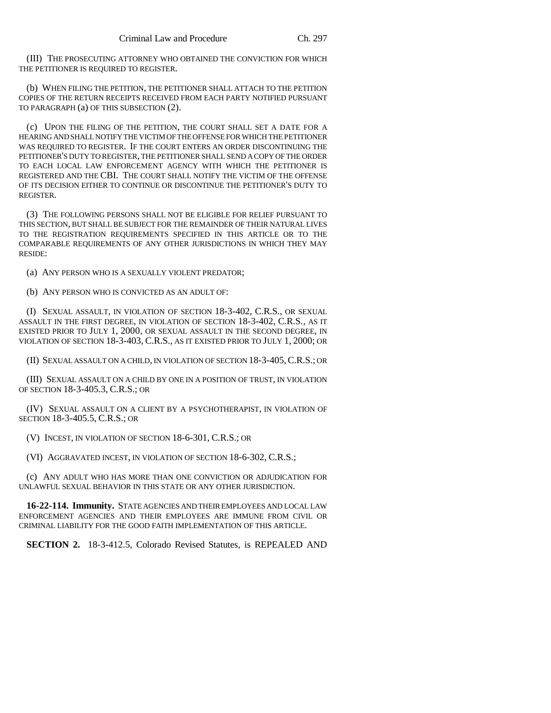(III) THE PROSECUTING ATTORNEY WHO OBTAINED THE CONVICTION FOR WHICH THE PETITIONER IS REQUIRED TO REGISTER.

(b) WHEN FILING THE PETITION, THE PETITIONER SHALL ATTACH TO THE PETITION COPIES OF THE RETURN RECEIPTS RECEIVED FROM EACH PARTY NOTIFIED PURSUANT TO PARAGRAPH (a) OF THIS SUBSECTION (2).

(c) UPON THE FILING OF THE PETITION, THE COURT SHALL SET A DATE FOR A HEARING AND SHALL NOTIFY THE VICTIM OF THE OFFENSE FOR WHICH THE PETITIONER WAS REQUIRED TO REGISTER. IF THE COURT ENTERS AN ORDER DISCONTINUING THE PETITIONER'S DUTY TO REGISTER, THE PETITIONER SHALL SEND A COPY OF THE ORDER TO EACH LOCAL LAW ENFORCEMENT AGENCY WITH WHICH THE PETITIONER IS REGISTERED AND THE CBI. THE COURT SHALL NOTIFY THE VICTIM OF THE OFFENSE OF ITS DECISION EITHER TO CONTINUE OR DISCONTINUE THE PETITIONER'S DUTY TO REGISTER.

(3) THE FOLLOWING PERSONS SHALL NOT BE ELIGIBLE FOR RELIEF PURSUANT TO THIS SECTION, BUT SHALL BE SUBJECT FOR THE REMAINDER OF THEIR NATURAL LIVES TO THE REGISTRATION REQUIREMENTS SPECIFIED IN THIS ARTICLE OR TO THE COMPARABLE REQUIREMENTS OF ANY OTHER JURISDICTIONS IN WHICH THEY MAY RESIDE:

(a) ANY PERSON WHO IS A SEXUALLY VIOLENT PREDATOR;

(b) ANY PERSON WHO IS CONVICTED AS AN ADULT OF:

(I) SEXUAL ASSAULT, IN VIOLATION OF SECTION 18-3-402, C.R.S., OR SEXUAL ASSAULT IN THE FIRST DEGREE, IN VIOLATION OF SECTION 18-3-402, C.R.S., AS IT EXISTED PRIOR TO JULY 1, 2000, OR SEXUAL ASSAULT IN THE SECOND DEGREE, IN VIOLATION OF SECTION 18-3-403, C.R.S., AS IT EXISTED PRIOR TO JULY 1, 2000; OR

(II) SEXUAL ASSAULT ON A CHILD, IN VIOLATION OF SECTION 18-3-405,C.R.S.; OR

(III) SEXUAL ASSAULT ON A CHILD BY ONE IN A POSITION OF TRUST, IN VIOLATION OF SECTION 18-3-405.3, C.R.S.; OR

(IV) SEXUAL ASSAULT ON A CLIENT BY A PSYCHOTHERAPIST, IN VIOLATION OF SECTION 18-3-405.5, C.R.S.; OR

(V) INCEST, IN VIOLATION OF SECTION 18-6-301, C.R.S.; OR

(VI) AGGRAVATED INCEST, IN VIOLATION OF SECTION 18-6-302, C.R.S.;

(c) ANY ADULT WHO HAS MORE THAN ONE CONVICTION OR ADJUDICATION FOR UNLAWFUL SEXUAL BEHAVIOR IN THIS STATE OR ANY OTHER JURISDICTION.

**16-22-114. Immunity.** STATE AGENCIES AND THEIR EMPLOYEES AND LOCAL LAW ENFORCEMENT AGENCIES AND THEIR EMPLOYEES ARE IMMUNE FROM CIVIL OR CRIMINAL LIABILITY FOR THE GOOD FAITH IMPLEMENTATION OF THIS ARTICLE.

**SECTION 2.** 18-3-412.5, Colorado Revised Statutes, is REPEALED AND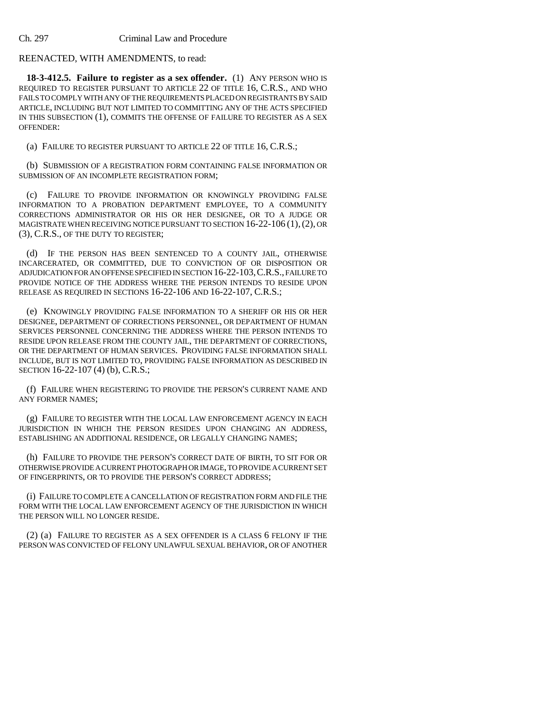## REENACTED, WITH AMENDMENTS, to read:

**18-3-412.5. Failure to register as a sex offender.** (1) ANY PERSON WHO IS REQUIRED TO REGISTER PURSUANT TO ARTICLE 22 OF TITLE 16, C.R.S., AND WHO FAILS TO COMPLY WITH ANY OF THE REQUIREMENTS PLACED ON REGISTRANTS BY SAID ARTICLE, INCLUDING BUT NOT LIMITED TO COMMITTING ANY OF THE ACTS SPECIFIED IN THIS SUBSECTION (1), COMMITS THE OFFENSE OF FAILURE TO REGISTER AS A SEX OFFENDER:

(a) FAILURE TO REGISTER PURSUANT TO ARTICLE 22 OF TITLE 16, C.R.S.;

(b) SUBMISSION OF A REGISTRATION FORM CONTAINING FALSE INFORMATION OR SUBMISSION OF AN INCOMPLETE REGISTRATION FORM;

(c) FAILURE TO PROVIDE INFORMATION OR KNOWINGLY PROVIDING FALSE INFORMATION TO A PROBATION DEPARTMENT EMPLOYEE, TO A COMMUNITY CORRECTIONS ADMINISTRATOR OR HIS OR HER DESIGNEE, OR TO A JUDGE OR MAGISTRATE WHEN RECEIVING NOTICE PURSUANT TO SECTION 16-22-106 (1),(2), OR (3), C.R.S., OF THE DUTY TO REGISTER;

(d) IF THE PERSON HAS BEEN SENTENCED TO A COUNTY JAIL, OTHERWISE INCARCERATED, OR COMMITTED, DUE TO CONVICTION OF OR DISPOSITION OR ADJUDICATION FOR AN OFFENSE SPECIFIED IN SECTION 16-22-103,C.R.S., FAILURE TO PROVIDE NOTICE OF THE ADDRESS WHERE THE PERSON INTENDS TO RESIDE UPON RELEASE AS REQUIRED IN SECTIONS 16-22-106 AND 16-22-107, C.R.S.;

(e) KNOWINGLY PROVIDING FALSE INFORMATION TO A SHERIFF OR HIS OR HER DESIGNEE, DEPARTMENT OF CORRECTIONS PERSONNEL, OR DEPARTMENT OF HUMAN SERVICES PERSONNEL CONCERNING THE ADDRESS WHERE THE PERSON INTENDS TO RESIDE UPON RELEASE FROM THE COUNTY JAIL, THE DEPARTMENT OF CORRECTIONS, OR THE DEPARTMENT OF HUMAN SERVICES. PROVIDING FALSE INFORMATION SHALL INCLUDE, BUT IS NOT LIMITED TO, PROVIDING FALSE INFORMATION AS DESCRIBED IN SECTION 16-22-107 (4) (b), C.R.S.;

(f) FAILURE WHEN REGISTERING TO PROVIDE THE PERSON'S CURRENT NAME AND ANY FORMER NAMES;

(g) FAILURE TO REGISTER WITH THE LOCAL LAW ENFORCEMENT AGENCY IN EACH JURISDICTION IN WHICH THE PERSON RESIDES UPON CHANGING AN ADDRESS, ESTABLISHING AN ADDITIONAL RESIDENCE, OR LEGALLY CHANGING NAMES;

(h) FAILURE TO PROVIDE THE PERSON'S CORRECT DATE OF BIRTH, TO SIT FOR OR OTHERWISE PROVIDE A CURRENT PHOTOGRAPH OR IMAGE, TO PROVIDE A CURRENT SET OF FINGERPRINTS, OR TO PROVIDE THE PERSON'S CORRECT ADDRESS;

(i) FAILURE TO COMPLETE A CANCELLATION OF REGISTRATION FORM AND FILE THE FORM WITH THE LOCAL LAW ENFORCEMENT AGENCY OF THE JURISDICTION IN WHICH THE PERSON WILL NO LONGER RESIDE.

(2) (a) FAILURE TO REGISTER AS A SEX OFFENDER IS A CLASS 6 FELONY IF THE PERSON WAS CONVICTED OF FELONY UNLAWFUL SEXUAL BEHAVIOR, OR OF ANOTHER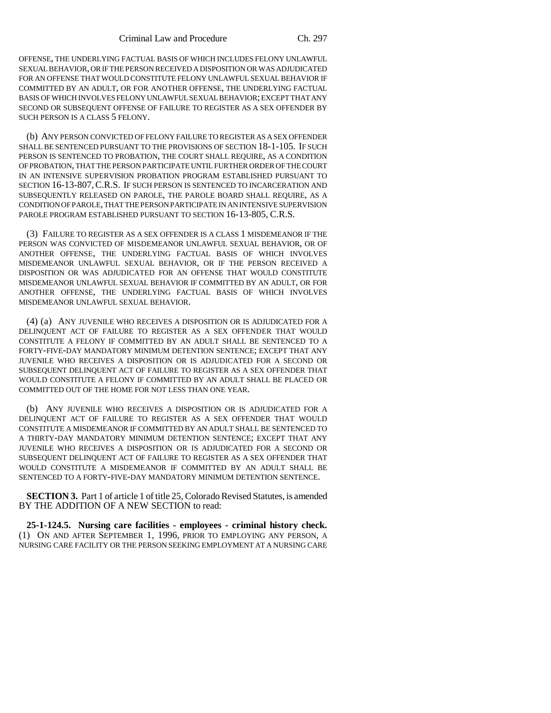OFFENSE, THE UNDERLYING FACTUAL BASIS OF WHICH INCLUDES FELONY UNLAWFUL SEXUAL BEHAVIOR, OR IF THE PERSON RECEIVED A DISPOSITION OR WAS ADJUDICATED FOR AN OFFENSE THAT WOULD CONSTITUTE FELONY UNLAWFUL SEXUAL BEHAVIOR IF COMMITTED BY AN ADULT, OR FOR ANOTHER OFFENSE, THE UNDERLYING FACTUAL BASIS OF WHICH INVOLVES FELONY UNLAWFUL SEXUAL BEHAVIOR; EXCEPT THAT ANY SECOND OR SUBSEQUENT OFFENSE OF FAILURE TO REGISTER AS A SEX OFFENDER BY SUCH PERSON IS A CLASS 5 FELONY.

(b) ANY PERSON CONVICTED OF FELONY FAILURE TO REGISTER AS A SEX OFFENDER SHALL BE SENTENCED PURSUANT TO THE PROVISIONS OF SECTION 18-1-105. IF SUCH PERSON IS SENTENCED TO PROBATION, THE COURT SHALL REQUIRE, AS A CONDITION OF PROBATION, THAT THE PERSON PARTICIPATE UNTIL FURTHER ORDER OF THE COURT IN AN INTENSIVE SUPERVISION PROBATION PROGRAM ESTABLISHED PURSUANT TO SECTION 16-13-807,C.R.S. IF SUCH PERSON IS SENTENCED TO INCARCERATION AND SUBSEQUENTLY RELEASED ON PAROLE, THE PAROLE BOARD SHALL REQUIRE, AS A CONDITION OF PAROLE, THAT THE PERSON PARTICIPATE IN AN INTENSIVE SUPERVISION PAROLE PROGRAM ESTABLISHED PURSUANT TO SECTION 16-13-805, C.R.S.

(3) FAILURE TO REGISTER AS A SEX OFFENDER IS A CLASS 1 MISDEMEANOR IF THE PERSON WAS CONVICTED OF MISDEMEANOR UNLAWFUL SEXUAL BEHAVIOR, OR OF ANOTHER OFFENSE, THE UNDERLYING FACTUAL BASIS OF WHICH INVOLVES MISDEMEANOR UNLAWFUL SEXUAL BEHAVIOR, OR IF THE PERSON RECEIVED A DISPOSITION OR WAS ADJUDICATED FOR AN OFFENSE THAT WOULD CONSTITUTE MISDEMEANOR UNLAWFUL SEXUAL BEHAVIOR IF COMMITTED BY AN ADULT, OR FOR ANOTHER OFFENSE, THE UNDERLYING FACTUAL BASIS OF WHICH INVOLVES MISDEMEANOR UNLAWFUL SEXUAL BEHAVIOR.

(4) (a) ANY JUVENILE WHO RECEIVES A DISPOSITION OR IS ADJUDICATED FOR A DELINQUENT ACT OF FAILURE TO REGISTER AS A SEX OFFENDER THAT WOULD CONSTITUTE A FELONY IF COMMITTED BY AN ADULT SHALL BE SENTENCED TO A FORTY-FIVE-DAY MANDATORY MINIMUM DETENTION SENTENCE; EXCEPT THAT ANY JUVENILE WHO RECEIVES A DISPOSITION OR IS ADJUDICATED FOR A SECOND OR SUBSEQUENT DELINQUENT ACT OF FAILURE TO REGISTER AS A SEX OFFENDER THAT WOULD CONSTITUTE A FELONY IF COMMITTED BY AN ADULT SHALL BE PLACED OR COMMITTED OUT OF THE HOME FOR NOT LESS THAN ONE YEAR.

(b) ANY JUVENILE WHO RECEIVES A DISPOSITION OR IS ADJUDICATED FOR A DELINQUENT ACT OF FAILURE TO REGISTER AS A SEX OFFENDER THAT WOULD CONSTITUTE A MISDEMEANOR IF COMMITTED BY AN ADULT SHALL BE SENTENCED TO A THIRTY-DAY MANDATORY MINIMUM DETENTION SENTENCE; EXCEPT THAT ANY JUVENILE WHO RECEIVES A DISPOSITION OR IS ADJUDICATED FOR A SECOND OR SUBSEQUENT DELINQUENT ACT OF FAILURE TO REGISTER AS A SEX OFFENDER THAT WOULD CONSTITUTE A MISDEMEANOR IF COMMITTED BY AN ADULT SHALL BE SENTENCED TO A FORTY-FIVE-DAY MANDATORY MINIMUM DETENTION SENTENCE.

**SECTION 3.** Part 1 of article 1 of title 25, Colorado Revised Statutes, is amended BY THE ADDITION OF A NEW SECTION to read:

**25-1-124.5. Nursing care facilities - employees - criminal history check.** (1) ON AND AFTER SEPTEMBER 1, 1996, PRIOR TO EMPLOYING ANY PERSON, A NURSING CARE FACILITY OR THE PERSON SEEKING EMPLOYMENT AT A NURSING CARE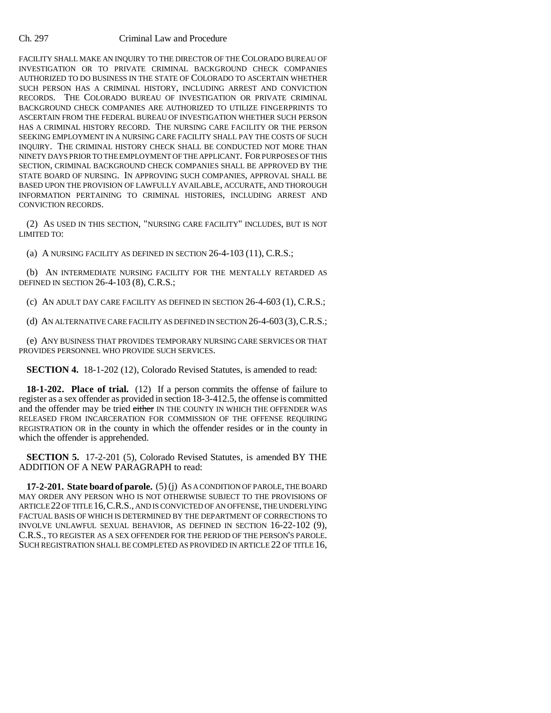FACILITY SHALL MAKE AN INQUIRY TO THE DIRECTOR OF THE COLORADO BUREAU OF INVESTIGATION OR TO PRIVATE CRIMINAL BACKGROUND CHECK COMPANIES AUTHORIZED TO DO BUSINESS IN THE STATE OF COLORADO TO ASCERTAIN WHETHER SUCH PERSON HAS A CRIMINAL HISTORY, INCLUDING ARREST AND CONVICTION RECORDS. THE COLORADO BUREAU OF INVESTIGATION OR PRIVATE CRIMINAL BACKGROUND CHECK COMPANIES ARE AUTHORIZED TO UTILIZE FINGERPRINTS TO ASCERTAIN FROM THE FEDERAL BUREAU OF INVESTIGATION WHETHER SUCH PERSON HAS A CRIMINAL HISTORY RECORD. THE NURSING CARE FACILITY OR THE PERSON SEEKING EMPLOYMENT IN A NURSING CARE FACILITY SHALL PAY THE COSTS OF SUCH INQUIRY. THE CRIMINAL HISTORY CHECK SHALL BE CONDUCTED NOT MORE THAN NINETY DAYS PRIOR TO THE EMPLOYMENT OF THE APPLICANT. FOR PURPOSES OF THIS SECTION, CRIMINAL BACKGROUND CHECK COMPANIES SHALL BE APPROVED BY THE STATE BOARD OF NURSING. IN APPROVING SUCH COMPANIES, APPROVAL SHALL BE BASED UPON THE PROVISION OF LAWFULLY AVAILABLE, ACCURATE, AND THOROUGH INFORMATION PERTAINING TO CRIMINAL HISTORIES, INCLUDING ARREST AND CONVICTION RECORDS.

(2) AS USED IN THIS SECTION, "NURSING CARE FACILITY" INCLUDES, BUT IS NOT LIMITED TO:

(a) A NURSING FACILITY AS DEFINED IN SECTION 26-4-103 (11), C.R.S.;

(b) AN INTERMEDIATE NURSING FACILITY FOR THE MENTALLY RETARDED AS DEFINED IN SECTION 26-4-103 (8), C.R.S.;

(c) AN ADULT DAY CARE FACILITY AS DEFINED IN SECTION 26-4-603 (1), C.R.S.;

(d) AN ALTERNATIVE CARE FACILITY AS DEFINED IN SECTION 26-4-603 (3),C.R.S.;

(e) ANY BUSINESS THAT PROVIDES TEMPORARY NURSING CARE SERVICES OR THAT PROVIDES PERSONNEL WHO PROVIDE SUCH SERVICES.

**SECTION 4.** 18-1-202 (12), Colorado Revised Statutes, is amended to read:

**18-1-202. Place of trial.** (12) If a person commits the offense of failure to register as a sex offender as provided in section 18-3-412.5, the offense is committed and the offender may be tried either IN THE COUNTY IN WHICH THE OFFENDER WAS RELEASED FROM INCARCERATION FOR COMMISSION OF THE OFFENSE REQUIRING REGISTRATION OR in the county in which the offender resides or in the county in which the offender is apprehended.

**SECTION 5.** 17-2-201 (5), Colorado Revised Statutes, is amended BY THE ADDITION OF A NEW PARAGRAPH to read:

**17-2-201. State board of parole.** (5) (j) AS A CONDITION OF PAROLE, THE BOARD MAY ORDER ANY PERSON WHO IS NOT OTHERWISE SUBJECT TO THE PROVISIONS OF ARTICLE 22 OF TITLE 16,C.R.S., AND IS CONVICTED OF AN OFFENSE, THE UNDERLYING FACTUAL BASIS OF WHICH IS DETERMINED BY THE DEPARTMENT OF CORRECTIONS TO INVOLVE UNLAWFUL SEXUAL BEHAVIOR, AS DEFINED IN SECTION 16-22-102 (9), C.R.S., TO REGISTER AS A SEX OFFENDER FOR THE PERIOD OF THE PERSON'S PAROLE. SUCH REGISTRATION SHALL BE COMPLETED AS PROVIDED IN ARTICLE 22 OF TITLE 16,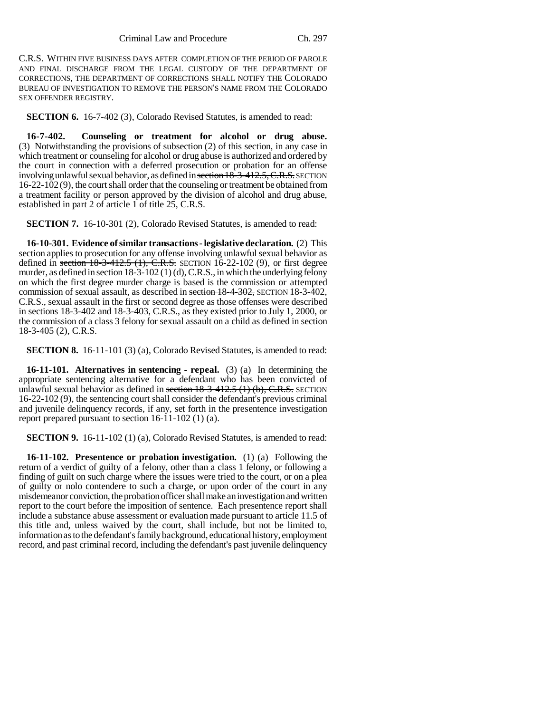C.R.S. WITHIN FIVE BUSINESS DAYS AFTER COMPLETION OF THE PERIOD OF PAROLE AND FINAL DISCHARGE FROM THE LEGAL CUSTODY OF THE DEPARTMENT OF CORRECTIONS, THE DEPARTMENT OF CORRECTIONS SHALL NOTIFY THE COLORADO BUREAU OF INVESTIGATION TO REMOVE THE PERSON'S NAME FROM THE COLORADO SEX OFFENDER REGISTRY.

**SECTION 6.** 16-7-402 (3), Colorado Revised Statutes, is amended to read:

**16-7-402. Counseling or treatment for alcohol or drug abuse.** (3) Notwithstanding the provisions of subsection (2) of this section, in any case in which treatment or counseling for alcohol or drug abuse is authorized and ordered by the court in connection with a deferred prosecution or probation for an offense involving unlawful sexual behavior, as defined in section 18-3-412.5, C.R.S. SECTION 16-22-102 (9), the court shall order that the counseling or treatment be obtained from a treatment facility or person approved by the division of alcohol and drug abuse, established in part 2 of article 1 of title 25, C.R.S.

**SECTION 7.** 16-10-301 (2), Colorado Revised Statutes, is amended to read:

**16-10-301. Evidence of similar transactions - legislative declaration.** (2) This section applies to prosecution for any offense involving unlawful sexual behavior as defined in section  $18-3-412.5$  (1), C.R.S. SECTION 16-22-102 (9), or first degree murder, as defined in section 18-3-102 (1) (d), C.R.S., in which the underlying felony on which the first degree murder charge is based is the commission or attempted commission of sexual assault, as described in section 18-4-302, SECTION 18-3-402, C.R.S., sexual assault in the first or second degree as those offenses were described in sections 18-3-402 and 18-3-403, C.R.S., as they existed prior to July 1, 2000, or the commission of a class 3 felony for sexual assault on a child as defined in section 18-3-405 (2), C.R.S.

**SECTION 8.** 16-11-101 (3) (a), Colorado Revised Statutes, is amended to read:

**16-11-101. Alternatives in sentencing - repeal.** (3) (a) In determining the appropriate sentencing alternative for a defendant who has been convicted of unlawful sexual behavior as defined in section  $18-3-412.5$  (1) (b), C.R.S. SECTION 16-22-102 (9), the sentencing court shall consider the defendant's previous criminal and juvenile delinquency records, if any, set forth in the presentence investigation report prepared pursuant to section 16-11-102 (1) (a).

**SECTION 9.** 16-11-102 (1) (a), Colorado Revised Statutes, is amended to read:

**16-11-102. Presentence or probation investigation.** (1) (a) Following the return of a verdict of guilty of a felony, other than a class 1 felony, or following a finding of guilt on such charge where the issues were tried to the court, or on a plea of guilty or nolo contendere to such a charge, or upon order of the court in any misdemeanor conviction, the probation officer shall make an investigation and written report to the court before the imposition of sentence. Each presentence report shall include a substance abuse assessment or evaluation made pursuant to article 11.5 of this title and, unless waived by the court, shall include, but not be limited to, information as to the defendant's family background, educational history, employment record, and past criminal record, including the defendant's past juvenile delinquency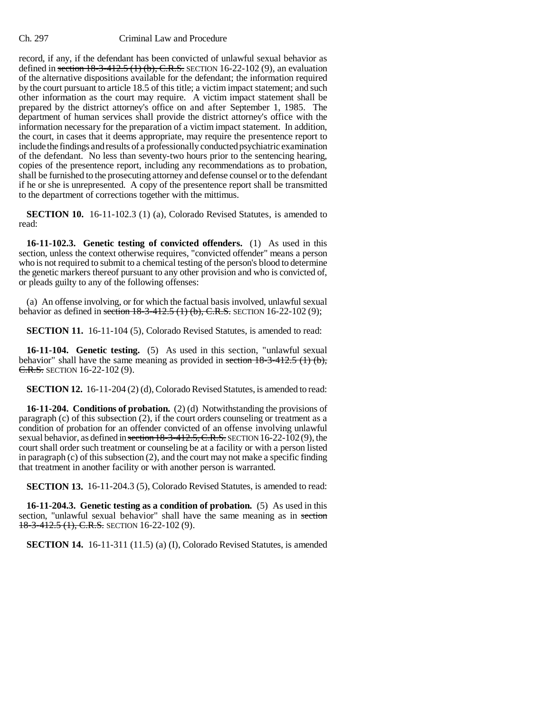record, if any, if the defendant has been convicted of unlawful sexual behavior as defined in section  $18-3-412.5$  (1) (b), C.R.S. SECTION 16-22-102 (9), an evaluation of the alternative dispositions available for the defendant; the information required by the court pursuant to article 18.5 of this title; a victim impact statement; and such other information as the court may require. A victim impact statement shall be prepared by the district attorney's office on and after September 1, 1985. The department of human services shall provide the district attorney's office with the information necessary for the preparation of a victim impact statement. In addition, the court, in cases that it deems appropriate, may require the presentence report to include the findings and results of a professionally conducted psychiatric examination of the defendant. No less than seventy-two hours prior to the sentencing hearing, copies of the presentence report, including any recommendations as to probation, shall be furnished to the prosecuting attorney and defense counsel or to the defendant if he or she is unrepresented. A copy of the presentence report shall be transmitted to the department of corrections together with the mittimus.

**SECTION 10.** 16-11-102.3 (1) (a), Colorado Revised Statutes, is amended to read:

**16-11-102.3. Genetic testing of convicted offenders.** (1) As used in this section, unless the context otherwise requires, "convicted offender" means a person who is not required to submit to a chemical testing of the person's blood to determine the genetic markers thereof pursuant to any other provision and who is convicted of, or pleads guilty to any of the following offenses:

(a) An offense involving, or for which the factual basis involved, unlawful sexual behavior as defined in section 18-3-412.5 (1) (b), C.R.S. SECTION 16-22-102 (9);

**SECTION 11.** 16-11-104 (5), Colorado Revised Statutes, is amended to read:

**16-11-104. Genetic testing.** (5) As used in this section, "unlawful sexual behavior" shall have the same meaning as provided in section  $18-3-412.5$  (1) (b), C.R.S. SECTION 16-22-102 (9).

**SECTION 12.** 16-11-204 (2) (d), Colorado Revised Statutes, is amended to read:

**16-11-204. Conditions of probation.** (2) (d) Notwithstanding the provisions of paragraph (c) of this subsection (2), if the court orders counseling or treatment as a condition of probation for an offender convicted of an offense involving unlawful sexual behavior, as defined in section  $18-3-412.5$ , C.R.S. SECTION 16-22-102(9), the court shall order such treatment or counseling be at a facility or with a person listed in paragraph (c) of this subsection (2), and the court may not make a specific finding that treatment in another facility or with another person is warranted.

**SECTION 13.** 16-11-204.3 (5), Colorado Revised Statutes, is amended to read:

**16-11-204.3. Genetic testing as a condition of probation.** (5) As used in this section, "unlawful sexual behavior" shall have the same meaning as in section 18-3-412.5 (1), C.R.S. SECTION 16-22-102 (9).

**SECTION 14.** 16-11-311 (11.5) (a) (I), Colorado Revised Statutes, is amended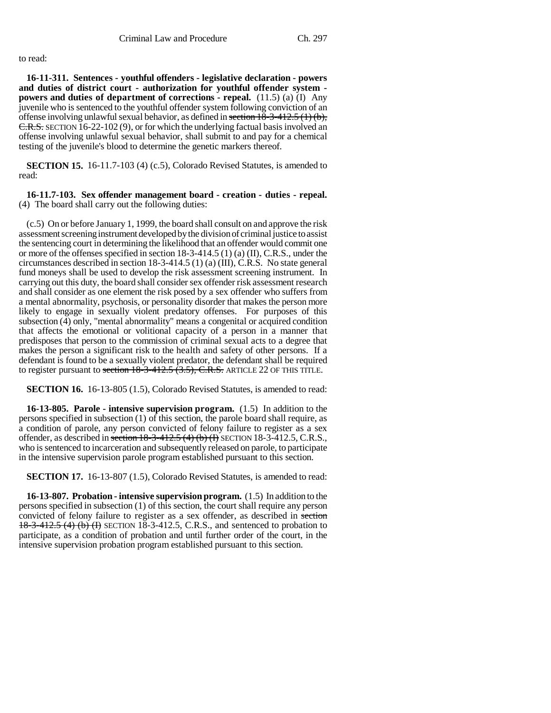## to read:

**16-11-311. Sentences - youthful offenders - legislative declaration - powers and duties of district court - authorization for youthful offender system powers and duties of department of corrections - repeal.** (11.5) (a) (I) Any juvenile who is sentenced to the youthful offender system following conviction of an offense involving unlawful sexual behavior, as defined in section 18-3-412.5 (1) (b), C.R.S. SECTION 16-22-102 (9), or for which the underlying factual basis involved an offense involving unlawful sexual behavior, shall submit to and pay for a chemical testing of the juvenile's blood to determine the genetic markers thereof.

**SECTION 15.** 16-11.7-103 (4) (c.5), Colorado Revised Statutes, is amended to read:

### **16-11.7-103. Sex offender management board - creation - duties - repeal.** (4) The board shall carry out the following duties:

(c.5) On or before January 1, 1999, the board shall consult on and approve the risk assessment screening instrument developed by the division of criminal justice to assist the sentencing court in determining the likelihood that an offender would commit one or more of the offenses specified in section 18-3-414.5 (1) (a) (II), C.R.S., under the circumstances described in section 18-3-414.5 (1) (a) (III), C.R.S. No state general fund moneys shall be used to develop the risk assessment screening instrument. In carrying out this duty, the board shall consider sex offender risk assessment research and shall consider as one element the risk posed by a sex offender who suffers from a mental abnormality, psychosis, or personality disorder that makes the person more likely to engage in sexually violent predatory offenses. For purposes of this subsection (4) only, "mental abnormality" means a congenital or acquired condition that affects the emotional or volitional capacity of a person in a manner that predisposes that person to the commission of criminal sexual acts to a degree that makes the person a significant risk to the health and safety of other persons. If a defendant is found to be a sexually violent predator, the defendant shall be required to register pursuant to section  $18-3-412.5$   $(3.5)$ , C.R.S. ARTICLE 22 OF THIS TITLE.

**SECTION 16.** 16-13-805 (1.5), Colorado Revised Statutes, is amended to read:

**16-13-805. Parole - intensive supervision program.** (1.5) In addition to the persons specified in subsection (1) of this section, the parole board shall require, as a condition of parole, any person convicted of felony failure to register as a sex offender, as described in section  $18-3-412.5$  (4) (b) (I) SECTION 18-3-412.5, C.R.S., who is sentenced to incarceration and subsequently released on parole, to participate in the intensive supervision parole program established pursuant to this section.

**SECTION 17.** 16-13-807 (1.5), Colorado Revised Statutes, is amended to read:

**16-13-807. Probation - intensive supervision program.** (1.5) In addition to the persons specified in subsection (1) of this section, the court shall require any person convicted of felony failure to register as a sex offender, as described in section 18-3-412.5 (4) (b) (I) SECTION 18-3-412.5, C.R.S., and sentenced to probation to participate, as a condition of probation and until further order of the court, in the intensive supervision probation program established pursuant to this section.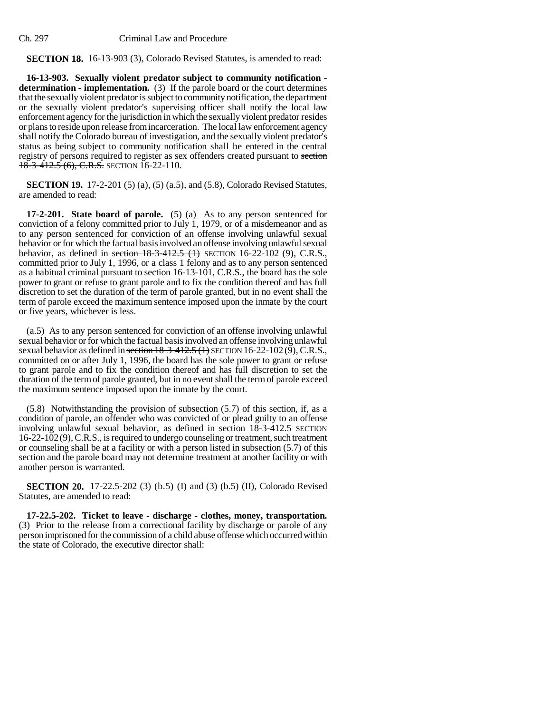## **SECTION 18.** 16-13-903 (3), Colorado Revised Statutes, is amended to read:

**16-13-903. Sexually violent predator subject to community notification determination - implementation.** (3) If the parole board or the court determines that the sexually violent predator is subject to community notification, the department or the sexually violent predator's supervising officer shall notify the local law enforcement agency for the jurisdiction in which the sexually violent predator resides or plans to reside upon release from incarceration. The local law enforcement agency shall notify the Colorado bureau of investigation, and the sexually violent predator's status as being subject to community notification shall be entered in the central registry of persons required to register as sex offenders created pursuant to section  $18-3-412.5(6)$ , C.R.S. SECTION 16-22-110.

**SECTION 19.** 17-2-201 (5) (a), (5) (a.5), and (5.8), Colorado Revised Statutes, are amended to read:

**17-2-201. State board of parole.** (5) (a) As to any person sentenced for conviction of a felony committed prior to July 1, 1979, or of a misdemeanor and as to any person sentenced for conviction of an offense involving unlawful sexual behavior or for which the factual basis involved an offense involving unlawful sexual behavior, as defined in section  $18-3-412.5$  (1) SECTION 16-22-102 (9), C.R.S., committed prior to July 1, 1996, or a class 1 felony and as to any person sentenced as a habitual criminal pursuant to section 16-13-101, C.R.S., the board has the sole power to grant or refuse to grant parole and to fix the condition thereof and has full discretion to set the duration of the term of parole granted, but in no event shall the term of parole exceed the maximum sentence imposed upon the inmate by the court or five years, whichever is less.

(a.5) As to any person sentenced for conviction of an offense involving unlawful sexual behavior or for which the factual basis involved an offense involving unlawful sexual behavior as defined in section 18-3-412.5 (1) SECTION 16-22-102 (9), C.R.S., committed on or after July 1, 1996, the board has the sole power to grant or refuse to grant parole and to fix the condition thereof and has full discretion to set the duration of the term of parole granted, but in no event shall the term of parole exceed the maximum sentence imposed upon the inmate by the court.

(5.8) Notwithstanding the provision of subsection (5.7) of this section, if, as a condition of parole, an offender who was convicted of or plead guilty to an offense involving unlawful sexual behavior, as defined in section  $18-3-412.5$  SECTION 16-22-102(9), C.R.S., is required to undergo counseling or treatment, such treatment or counseling shall be at a facility or with a person listed in subsection (5.7) of this section and the parole board may not determine treatment at another facility or with another person is warranted.

**SECTION 20.** 17-22.5-202 (3) (b.5) (I) and (3) (b.5) (II), Colorado Revised Statutes, are amended to read:

**17-22.5-202. Ticket to leave - discharge - clothes, money, transportation.** (3) Prior to the release from a correctional facility by discharge or parole of any person imprisoned for the commission of a child abuse offense which occurred within the state of Colorado, the executive director shall: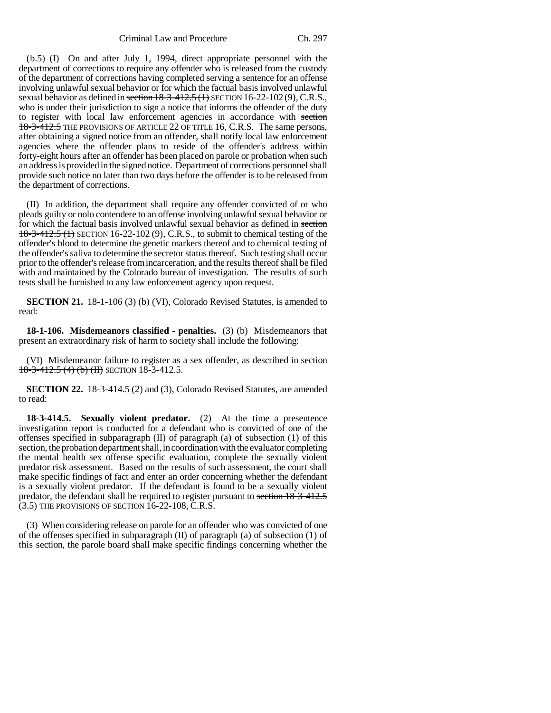(b.5) (I) On and after July 1, 1994, direct appropriate personnel with the department of corrections to require any offender who is released from the custody of the department of corrections having completed serving a sentence for an offense involving unlawful sexual behavior or for which the factual basis involved unlawful sexual behavior as defined in section  $18-3-412.5$  (1) SECTION 16-22-102 (9), C.R.S., who is under their jurisdiction to sign a notice that informs the offender of the duty to register with local law enforcement agencies in accordance with section 18-3-412.5 THE PROVISIONS OF ARTICLE 22 OF TITLE 16, C.R.S. The same persons, after obtaining a signed notice from an offender, shall notify local law enforcement agencies where the offender plans to reside of the offender's address within forty-eight hours after an offender has been placed on parole or probation when such an address is provided in the signed notice. Department of corrections personnel shall provide such notice no later than two days before the offender is to be released from the department of corrections.

(II) In addition, the department shall require any offender convicted of or who pleads guilty or nolo contendere to an offense involving unlawful sexual behavior or for which the factual basis involved unlawful sexual behavior as defined in section 18-3-412.5 (1) SECTION 16-22-102 (9), C.R.S., to submit to chemical testing of the offender's blood to determine the genetic markers thereof and to chemical testing of the offender's saliva to determine the secretor status thereof. Such testing shall occur prior to the offender's release from incarceration, and the results thereof shall be filed with and maintained by the Colorado bureau of investigation. The results of such tests shall be furnished to any law enforcement agency upon request.

**SECTION 21.** 18-1-106 (3) (b) (VI), Colorado Revised Statutes, is amended to read:

**18-1-106. Misdemeanors classified - penalties.** (3) (b) Misdemeanors that present an extraordinary risk of harm to society shall include the following:

(VI) Misdemeanor failure to register as a sex offender, as described in section 18-3-412.5 (4) (b) (II) SECTION 18-3-412.5.

**SECTION 22.** 18-3-414.5 (2) and (3), Colorado Revised Statutes, are amended to read:

**18-3-414.5. Sexually violent predator.** (2) At the time a presentence investigation report is conducted for a defendant who is convicted of one of the offenses specified in subparagraph (II) of paragraph (a) of subsection (1) of this section, the probation department shall, in coordination with the evaluator completing the mental health sex offense specific evaluation, complete the sexually violent predator risk assessment. Based on the results of such assessment, the court shall make specific findings of fact and enter an order concerning whether the defendant is a sexually violent predator. If the defendant is found to be a sexually violent predator, the defendant shall be required to register pursuant to section 18-3-412.5  $(3.5)$  THE PROVISIONS OF SECTION 16-22-108, C.R.S.

(3) When considering release on parole for an offender who was convicted of one of the offenses specified in subparagraph (II) of paragraph (a) of subsection (1) of this section, the parole board shall make specific findings concerning whether the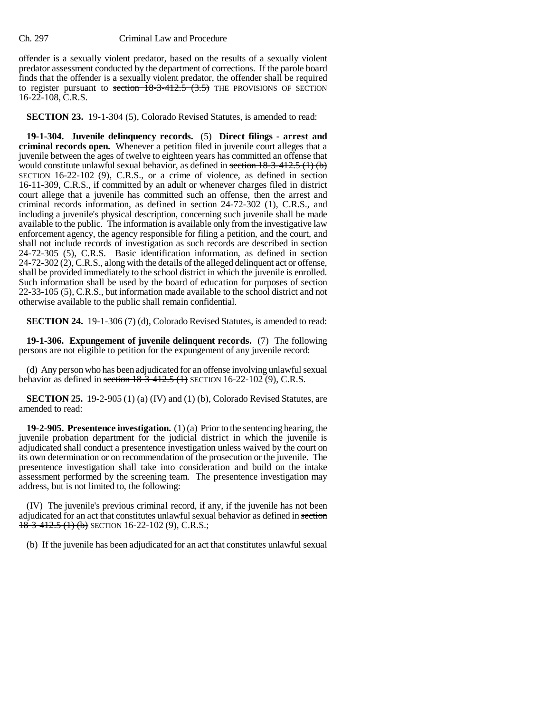offender is a sexually violent predator, based on the results of a sexually violent predator assessment conducted by the department of corrections. If the parole board finds that the offender is a sexually violent predator, the offender shall be required to register pursuant to section  $18-3-412.5$   $(3.5)$  THE PROVISIONS OF SECTION 16-22-108, C.R.S.

**SECTION 23.** 19-1-304 (5), Colorado Revised Statutes, is amended to read:

**19-1-304. Juvenile delinquency records.** (5) **Direct filings - arrest and criminal records open.** Whenever a petition filed in juvenile court alleges that a juvenile between the ages of twelve to eighteen years has committed an offense that would constitute unlawful sexual behavior, as defined in section  $18-3-412.5(1)(b)$ SECTION 16-22-102 (9), C.R.S., or a crime of violence, as defined in section 16-11-309, C.R.S., if committed by an adult or whenever charges filed in district court allege that a juvenile has committed such an offense, then the arrest and criminal records information, as defined in section 24-72-302 (1), C.R.S., and including a juvenile's physical description, concerning such juvenile shall be made available to the public. The information is available only from the investigative law enforcement agency, the agency responsible for filing a petition, and the court, and shall not include records of investigation as such records are described in section 24-72-305 (5), C.R.S. Basic identification information, as defined in section 24-72-302 (2), C.R.S., along with the details of the alleged delinquent act or offense, shall be provided immediately to the school district in which the juvenile is enrolled. Such information shall be used by the board of education for purposes of section 22-33-105 (5), C.R.S., but information made available to the school district and not otherwise available to the public shall remain confidential.

**SECTION 24.** 19-1-306 (7) (d), Colorado Revised Statutes, is amended to read:

**19-1-306. Expungement of juvenile delinquent records.** (7) The following persons are not eligible to petition for the expungement of any juvenile record:

(d) Any person who has been adjudicated for an offense involving unlawful sexual behavior as defined in section  $18-3-412.5$  (1) SECTION 16-22-102 (9), C.R.S.

**SECTION 25.** 19-2-905 (1) (a) (IV) and (1) (b), Colorado Revised Statutes, are amended to read:

**19-2-905. Presentence investigation.** (1) (a) Prior to the sentencing hearing, the juvenile probation department for the judicial district in which the juvenile is adjudicated shall conduct a presentence investigation unless waived by the court on its own determination or on recommendation of the prosecution or the juvenile. The presentence investigation shall take into consideration and build on the intake assessment performed by the screening team. The presentence investigation may address, but is not limited to, the following:

(IV) The juvenile's previous criminal record, if any, if the juvenile has not been adjudicated for an act that constitutes unlawful sexual behavior as defined in section  $18-3-412.5$  (1) (b) SECTION 16-22-102 (9), C.R.S.;

(b) If the juvenile has been adjudicated for an act that constitutes unlawful sexual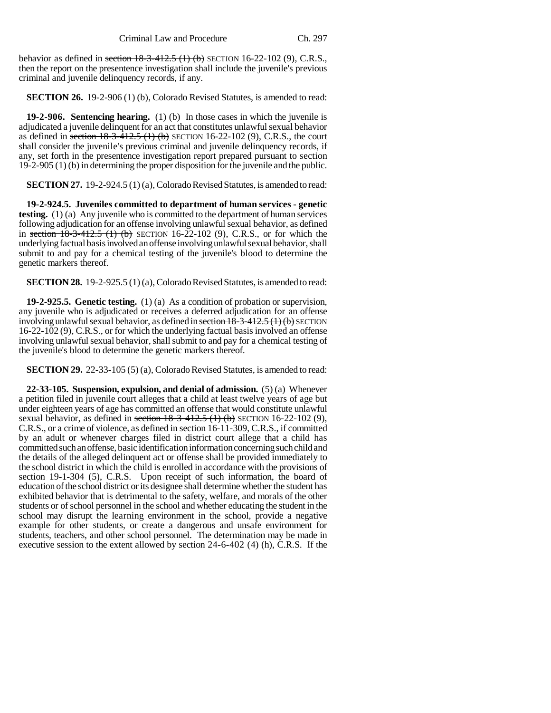behavior as defined in section 18-3-412.5 (1) (b) SECTION 16-22-102 (9), C.R.S., then the report on the presentence investigation shall include the juvenile's previous criminal and juvenile delinquency records, if any.

**SECTION 26.** 19-2-906 (1) (b), Colorado Revised Statutes, is amended to read:

**19-2-906. Sentencing hearing.** (1) (b) In those cases in which the juvenile is adjudicated a juvenile delinquent for an act that constitutes unlawful sexual behavior as defined in section  $18-3-412.5$  (1) (b) SECTION 16-22-102 (9), C.R.S., the court shall consider the juvenile's previous criminal and juvenile delinquency records, if any, set forth in the presentence investigation report prepared pursuant to section 19-2-905 (1) (b) in determining the proper disposition for the juvenile and the public.

**SECTION 27.** 19-2-924.5 (1) (a), Colorado Revised Statutes, is amended to read:

**19-2-924.5. Juveniles committed to department of human services - genetic testing.** (1) (a) Any juvenile who is committed to the department of human services following adjudication for an offense involving unlawful sexual behavior, as defined in section  $18-3-412.5$  (1) (b) SECTION 16-22-102 (9), C.R.S., or for which the underlying factual basis involved an offense involving unlawful sexual behavior, shall submit to and pay for a chemical testing of the juvenile's blood to determine the genetic markers thereof.

**SECTION 28.** 19-2-925.5 (1) (a), Colorado Revised Statutes, is amended to read:

**19-2-925.5. Genetic testing.** (1) (a) As a condition of probation or supervision, any juvenile who is adjudicated or receives a deferred adjudication for an offense involving unlawful sexual behavior, as defined in section  $18-3-412.5(1)(b)$  SECTION 16-22-102 (9), C.R.S., or for which the underlying factual basis involved an offense involving unlawful sexual behavior, shall submit to and pay for a chemical testing of the juvenile's blood to determine the genetic markers thereof.

**SECTION 29.** 22-33-105 (5) (a), Colorado Revised Statutes, is amended to read:

**22-33-105. Suspension, expulsion, and denial of admission.** (5) (a) Whenever a petition filed in juvenile court alleges that a child at least twelve years of age but under eighteen years of age has committed an offense that would constitute unlawful sexual behavior, as defined in section  $18-3-412.5$  (1) (b) SECTION 16-22-102 (9), C.R.S., or a crime of violence, as defined in section 16-11-309, C.R.S., if committed by an adult or whenever charges filed in district court allege that a child has committed such an offense, basic identification information concerning such child and the details of the alleged delinquent act or offense shall be provided immediately to the school district in which the child is enrolled in accordance with the provisions of section 19-1-304 (5), C.R.S. Upon receipt of such information, the board of education of the school district or its designee shall determine whether the student has exhibited behavior that is detrimental to the safety, welfare, and morals of the other students or of school personnel in the school and whether educating the student in the school may disrupt the learning environment in the school, provide a negative example for other students, or create a dangerous and unsafe environment for students, teachers, and other school personnel. The determination may be made in executive session to the extent allowed by section 24-6-402 (4) (h), C.R.S. If the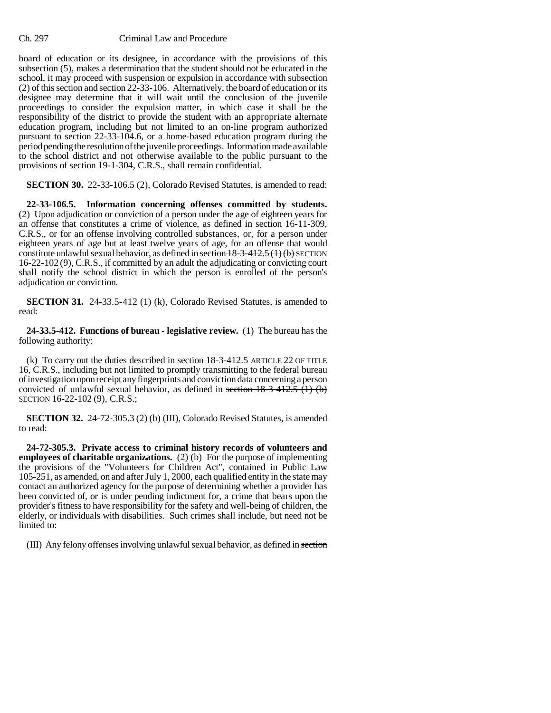board of education or its designee, in accordance with the provisions of this subsection (5), makes a determination that the student should not be educated in the school, it may proceed with suspension or expulsion in accordance with subsection (2) of this section and section 22-33-106. Alternatively, the board of education or its designee may determine that it will wait until the conclusion of the juvenile proceedings to consider the expulsion matter, in which case it shall be the responsibility of the district to provide the student with an appropriate alternate education program, including but not limited to an on-line program authorized pursuant to section 22-33-104.6, or a home-based education program during the period pending the resolution of the juvenile proceedings. Information made available to the school district and not otherwise available to the public pursuant to the provisions of section 19-1-304, C.R.S., shall remain confidential.

**SECTION 30.** 22-33-106.5 (2), Colorado Revised Statutes, is amended to read:

**22-33-106.5. Information concerning offenses committed by students.** (2) Upon adjudication or conviction of a person under the age of eighteen years for an offense that constitutes a crime of violence, as defined in section 16-11-309, C.R.S., or for an offense involving controlled substances, or, for a person under eighteen years of age but at least twelve years of age, for an offense that would constitute unlawful sexual behavior, as defined in section  $18-3-412.5(1)(b)$  SECTION 16-22-102 (9), C.R.S., if committed by an adult the adjudicating or convicting court shall notify the school district in which the person is enrolled of the person's adjudication or conviction.

**SECTION 31.** 24-33.5-412 (1) (k), Colorado Revised Statutes, is amended to read:

**24-33.5-412. Functions of bureau - legislative review.** (1) The bureau has the following authority:

(k) To carry out the duties described in section  $18-3-412.5$  ARTICLE 22 OF TITLE 16, C.R.S., including but not limited to promptly transmitting to the federal bureau of investigation upon receipt any fingerprints and conviction data concerning a person convicted of unlawful sexual behavior, as defined in section  $18-3-412.5$  (1) (b) SECTION 16-22-102 (9), C.R.S.;

**SECTION 32.** 24-72-305.3 (2) (b) (III), Colorado Revised Statutes, is amended to read:

**24-72-305.3. Private access to criminal history records of volunteers and employees of charitable organizations.** (2) (b) For the purpose of implementing the provisions of the "Volunteers for Children Act", contained in Public Law 105-251, as amended, on and after July 1, 2000, each qualified entity in the state may contact an authorized agency for the purpose of determining whether a provider has been convicted of, or is under pending indictment for, a crime that bears upon the provider's fitness to have responsibility for the safety and well-being of children, the elderly, or individuals with disabilities. Such crimes shall include, but need not be limited to:

(III) Any felony offenses involving unlawful sexual behavior, as defined in section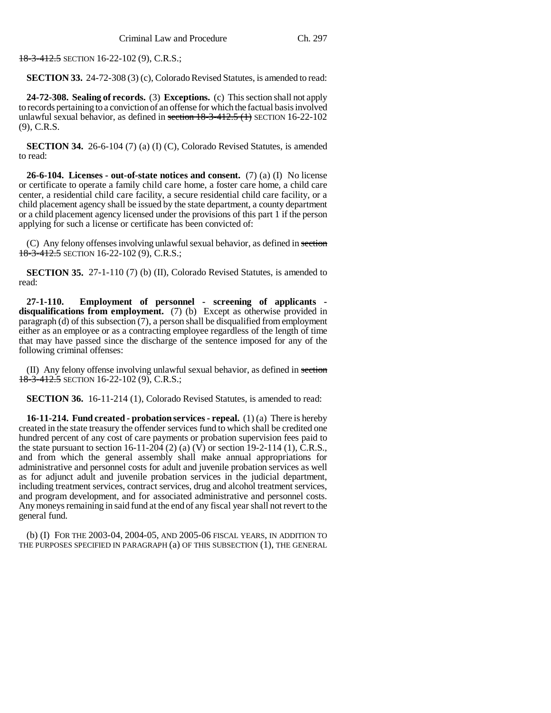18-3-412.5 SECTION 16-22-102 (9), C.R.S.;

**SECTION 33.** 24-72-308 (3) (c), Colorado Revised Statutes, is amended to read:

**24-72-308. Sealing of records.** (3) **Exceptions.** (c) This section shall not apply to records pertaining to a conviction of an offense for which the factual basis involved unlawful sexual behavior, as defined in section 18-3-412.5 (1) SECTION 16-22-102 (9), C.R.S.

**SECTION 34.** 26-6-104 (7) (a) (I) (C), Colorado Revised Statutes, is amended to read:

**26-6-104. Licenses - out-of-state notices and consent.** (7) (a) (I) No license or certificate to operate a family child care home, a foster care home, a child care center, a residential child care facility, a secure residential child care facility, or a child placement agency shall be issued by the state department, a county department or a child placement agency licensed under the provisions of this part 1 if the person applying for such a license or certificate has been convicted of:

(C) Any felony offenses involving unlawful sexual behavior, as defined in section 18-3-412.5 SECTION 16-22-102 (9), C.R.S.;

**SECTION 35.** 27-1-110 (7) (b) (II), Colorado Revised Statutes, is amended to read:

**27-1-110. Employment of personnel - screening of applicants disqualifications from employment.** (7) (b) Except as otherwise provided in paragraph (d) of this subsection (7), a person shall be disqualified from employment either as an employee or as a contracting employee regardless of the length of time that may have passed since the discharge of the sentence imposed for any of the following criminal offenses:

(II) Any felony offense involving unlawful sexual behavior, as defined in section 18-3-412.5 SECTION 16-22-102 (9), C.R.S.;

**SECTION 36.** 16-11-214 (1), Colorado Revised Statutes, is amended to read:

**16-11-214. Fund created - probation services - repeal.** (1) (a) There is hereby created in the state treasury the offender services fund to which shall be credited one hundred percent of any cost of care payments or probation supervision fees paid to the state pursuant to section 16-11-204 (2) (a) (V) or section 19-2-114 (1), C.R.S., and from which the general assembly shall make annual appropriations for administrative and personnel costs for adult and juvenile probation services as well as for adjunct adult and juvenile probation services in the judicial department, including treatment services, contract services, drug and alcohol treatment services, and program development, and for associated administrative and personnel costs. Any moneys remaining in said fund at the end of any fiscal year shall not revert to the general fund.

(b) (I) FOR THE 2003-04, 2004-05, AND 2005-06 FISCAL YEARS, IN ADDITION TO THE PURPOSES SPECIFIED IN PARAGRAPH (a) OF THIS SUBSECTION (1), THE GENERAL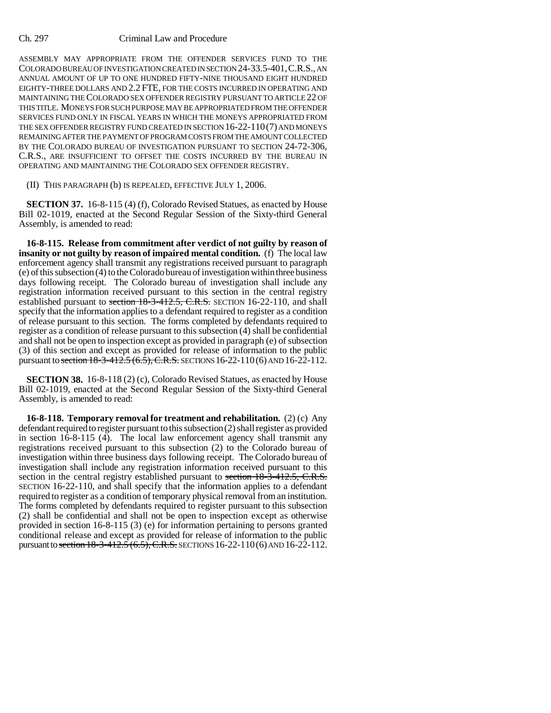ASSEMBLY MAY APPROPRIATE FROM THE OFFENDER SERVICES FUND TO THE COLORADO BUREAU OF INVESTIGATION CREATED IN SECTION 24-33.5-401,C.R.S., AN ANNUAL AMOUNT OF UP TO ONE HUNDRED FIFTY-NINE THOUSAND EIGHT HUNDRED EIGHTY-THREE DOLLARS AND 2.2 FTE, FOR THE COSTS INCURRED IN OPERATING AND MAINTAINING THE COLORADO SEX OFFENDER REGISTRY PURSUANT TO ARTICLE 22 OF THIS TITLE. MONEYS FOR SUCH PURPOSE MAY BE APPROPRIATED FROM THE OFFENDER SERVICES FUND ONLY IN FISCAL YEARS IN WHICH THE MONEYS APPROPRIATED FROM THE SEX OFFENDER REGISTRY FUND CREATED IN SECTION 16-22-110(7) AND MONEYS REMAINING AFTER THE PAYMENT OF PROGRAM COSTS FROM THE AMOUNT COLLECTED BY THE COLORADO BUREAU OF INVESTIGATION PURSUANT TO SECTION 24-72-306, C.R.S., ARE INSUFFICIENT TO OFFSET THE COSTS INCURRED BY THE BUREAU IN OPERATING AND MAINTAINING THE COLORADO SEX OFFENDER REGISTRY.

(II) THIS PARAGRAPH (b) IS REPEALED, EFFECTIVE JULY 1, 2006.

**SECTION 37.** 16-8-115 (4) (f), Colorado Revised Statues, as enacted by House Bill 02-1019, enacted at the Second Regular Session of the Sixty-third General Assembly, is amended to read:

**16-8-115. Release from commitment after verdict of not guilty by reason of insanity or not guilty by reason of impaired mental condition.** (f) The local law enforcement agency shall transmit any registrations received pursuant to paragraph (e) of this subsection (4) to the Colorado bureau of investigation within three business days following receipt. The Colorado bureau of investigation shall include any registration information received pursuant to this section in the central registry established pursuant to section 18-3-412.5, C.R.S. SECTION 16-22-110, and shall specify that the information applies to a defendant required to register as a condition of release pursuant to this section. The forms completed by defendants required to register as a condition of release pursuant to this subsection (4) shall be confidential and shall not be open to inspection except as provided in paragraph (e) of subsection (3) of this section and except as provided for release of information to the public pursuant to section  $18-3-412.5(6.5)$ , C.R.S. SECTIONS 16-22-110(6) AND 16-22-112.

**SECTION 38.** 16-8-118 (2) (c), Colorado Revised Statues, as enacted by House Bill 02-1019, enacted at the Second Regular Session of the Sixty-third General Assembly, is amended to read:

**16-8-118. Temporary removal for treatment and rehabilitation.** (2) (c) Any defendant required to register pursuant to this subsection (2) shall register as provided in section 16-8-115 (4). The local law enforcement agency shall transmit any registrations received pursuant to this subsection (2) to the Colorado bureau of investigation within three business days following receipt. The Colorado bureau of investigation shall include any registration information received pursuant to this section in the central registry established pursuant to <del>section 18-3-412.5, C.R.S.</del> SECTION 16-22-110, and shall specify that the information applies to a defendant required to register as a condition of temporary physical removal from an institution. The forms completed by defendants required to register pursuant to this subsection (2) shall be confidential and shall not be open to inspection except as otherwise provided in section 16-8-115 (3) (e) for information pertaining to persons granted conditional release and except as provided for release of information to the public pursuant to section  $18-3-412.5(6.5)$ , C.R.S. SECTIONS 16-22-110(6) AND 16-22-112.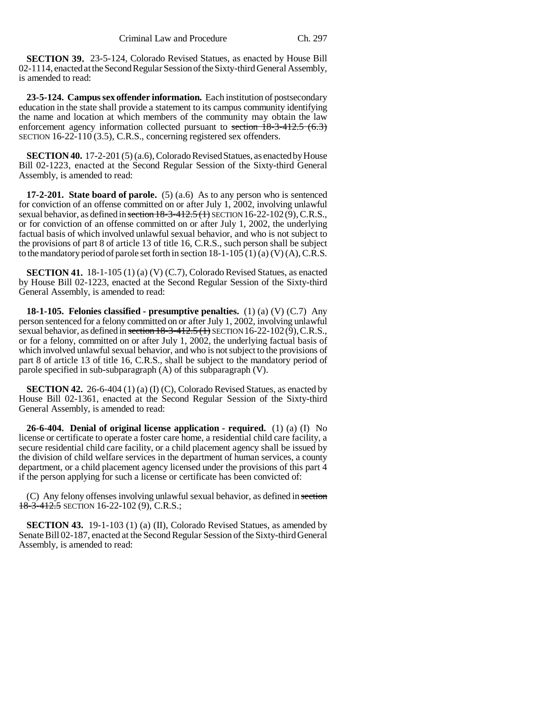**SECTION 39.** 23-5-124, Colorado Revised Statues, as enacted by House Bill 02-1114, enacted at the Second Regular Session of the Sixty-third General Assembly, is amended to read:

**23-5-124. Campus sex offender information.** Each institution of postsecondary education in the state shall provide a statement to its campus community identifying the name and location at which members of the community may obtain the law enforcement agency information collected pursuant to section  $18-3-412.5(6.3)$ SECTION 16-22-110 (3.5), C.R.S., concerning registered sex offenders.

**SECTION 40.** 17-2-201 (5) (a.6), Colorado Revised Statues, as enacted by House Bill 02-1223, enacted at the Second Regular Session of the Sixty-third General Assembly, is amended to read:

**17-2-201. State board of parole.** (5) (a.6) As to any person who is sentenced for conviction of an offense committed on or after July 1, 2002, involving unlawful sexual behavior, as defined in section  $18-3-412.5(1)$  SECTION  $16-22-102(9)$ , C.R.S., or for conviction of an offense committed on or after July 1, 2002, the underlying factual basis of which involved unlawful sexual behavior, and who is not subject to the provisions of part 8 of article 13 of title 16, C.R.S., such person shall be subject to the mandatory period of parole set forth in section  $18-1-105$  (1) (a) (V) (A), C.R.S.

**SECTION 41.** 18-1-105 (1) (a) (V) (C.7), Colorado Revised Statues, as enacted by House Bill 02-1223, enacted at the Second Regular Session of the Sixty-third General Assembly, is amended to read:

**18-1-105. Felonies classified - presumptive penalties.** (1) (a) (V) (C.7) Any person sentenced for a felony committed on or after July 1, 2002, involving unlawful sexual behavior, as defined in section  $18-3-412.5$  (1) SECTION 16-22-102(9), C.R.S., or for a felony, committed on or after July 1, 2002, the underlying factual basis of which involved unlawful sexual behavior, and who is not subject to the provisions of part 8 of article 13 of title 16, C.R.S., shall be subject to the mandatory period of parole specified in sub-subparagraph (A) of this subparagraph (V).

**SECTION 42.** 26-6-404 (1) (a) (I) (C), Colorado Revised Statues, as enacted by House Bill 02-1361, enacted at the Second Regular Session of the Sixty-third General Assembly, is amended to read:

**26-6-404. Denial of original license application - required.** (1) (a) (I) No license or certificate to operate a foster care home, a residential child care facility, a secure residential child care facility, or a child placement agency shall be issued by the division of child welfare services in the department of human services, a county department, or a child placement agency licensed under the provisions of this part 4 if the person applying for such a license or certificate has been convicted of:

(C) Any felony offenses involving unlawful sexual behavior, as defined in section 18-3-412.5 SECTION 16-22-102 (9), C.R.S.;

**SECTION 43.** 19-1-103 (1) (a) (II), Colorado Revised Statues, as amended by Senate Bill 02-187, enacted at the Second Regular Session of the Sixty-third General Assembly, is amended to read: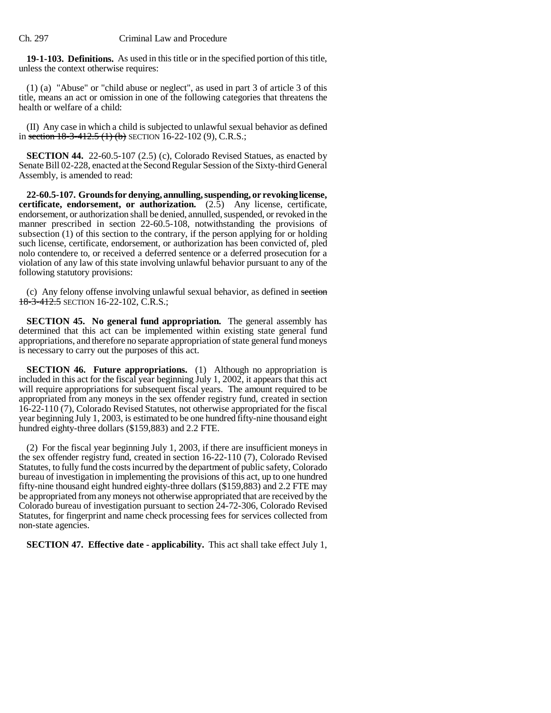**19-1-103. Definitions.** As used in this title or in the specified portion of this title, unless the context otherwise requires:

(1) (a) "Abuse" or "child abuse or neglect", as used in part 3 of article 3 of this title, means an act or omission in one of the following categories that threatens the health or welfare of a child:

(II) Any case in which a child is subjected to unlawful sexual behavior as defined in section  $18-3-412.5$  (1) (b) SECTION 16-22-102 (9), C.R.S.;

**SECTION 44.** 22-60.5-107 (2.5) (c), Colorado Revised Statues, as enacted by Senate Bill 02-228, enacted at the Second Regular Session of the Sixty-third General Assembly, is amended to read:

**22-60.5-107. Grounds for denying, annulling, suspending, or revoking license, certificate, endorsement, or authorization.** (2.5) Any license, certificate, endorsement, or authorization shall be denied, annulled, suspended, or revoked in the manner prescribed in section 22-60.5-108, notwithstanding the provisions of subsection (1) of this section to the contrary, if the person applying for or holding such license, certificate, endorsement, or authorization has been convicted of, pled nolo contendere to, or received a deferred sentence or a deferred prosecution for a violation of any law of this state involving unlawful behavior pursuant to any of the following statutory provisions:

(c) Any felony offense involving unlawful sexual behavior, as defined in section 18-3-412.5 SECTION 16-22-102, C.R.S.;

**SECTION 45. No general fund appropriation.** The general assembly has determined that this act can be implemented within existing state general fund appropriations, and therefore no separate appropriation of state general fund moneys is necessary to carry out the purposes of this act.

**SECTION 46. Future appropriations.** (1) Although no appropriation is included in this act for the fiscal year beginning July 1, 2002, it appears that this act will require appropriations for subsequent fiscal years. The amount required to be appropriated from any moneys in the sex offender registry fund, created in section 16-22-110 (7), Colorado Revised Statutes, not otherwise appropriated for the fiscal year beginning July 1, 2003, is estimated to be one hundred fifty-nine thousand eight hundred eighty-three dollars (\$159,883) and 2.2 FTE.

(2) For the fiscal year beginning July 1, 2003, if there are insufficient moneys in the sex offender registry fund, created in section 16-22-110 (7), Colorado Revised Statutes, to fully fund the costs incurred by the department of public safety, Colorado bureau of investigation in implementing the provisions of this act, up to one hundred fifty-nine thousand eight hundred eighty-three dollars (\$159,883) and 2.2 FTE may be appropriated from any moneys not otherwise appropriated that are received by the Colorado bureau of investigation pursuant to section 24-72-306, Colorado Revised Statutes, for fingerprint and name check processing fees for services collected from non-state agencies.

**SECTION 47. Effective date - applicability.** This act shall take effect July 1,